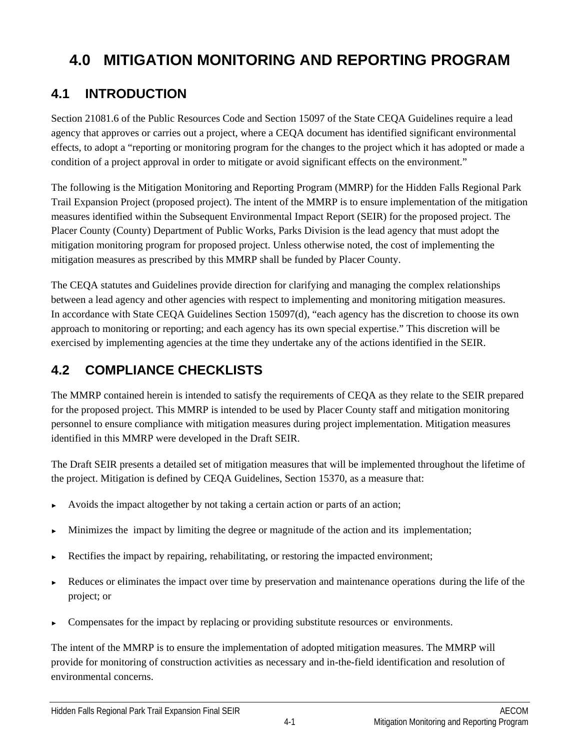# **4.0 MITIGATION MONITORING AND REPORTING PROGRAM**

# **4.1 INTRODUCTION**

Section 21081.6 of the Public Resources Code and Section 15097 of the State CEQA Guidelines require a lead agency that approves or carries out a project, where a CEQA document has identified significant environmental effects, to adopt a "reporting or monitoring program for the changes to the project which it has adopted or made a condition of a project approval in order to mitigate or avoid significant effects on the environment."

The following is the Mitigation Monitoring and Reporting Program (MMRP) for the Hidden Falls Regional Park Trail Expansion Project (proposed project). The intent of the MMRP is to ensure implementation of the mitigation measures identified within the Subsequent Environmental Impact Report (SEIR) for the proposed project. The Placer County (County) Department of Public Works, Parks Division is the lead agency that must adopt the mitigation monitoring program for proposed project. Unless otherwise noted, the cost of implementing the mitigation measures as prescribed by this MMRP shall be funded by Placer County.

The CEQA statutes and Guidelines provide direction for clarifying and managing the complex relationships between a lead agency and other agencies with respect to implementing and monitoring mitigation measures. In accordance with State CEQA Guidelines Section 15097(d), "each agency has the discretion to choose its own approach to monitoring or reporting; and each agency has its own special expertise." This discretion will be exercised by implementing agencies at the time they undertake any of the actions identified in the SEIR.

# **4.2 COMPLIANCE CHECKLISTS**

The MMRP contained herein is intended to satisfy the requirements of CEQA as they relate to the SEIR prepared for the proposed project. This MMRP is intended to be used by Placer County staff and mitigation monitoring personnel to ensure compliance with mitigation measures during project implementation. Mitigation measures identified in this MMRP were developed in the Draft SEIR.

The Draft SEIR presents a detailed set of mitigation measures that will be implemented throughout the lifetime of the project. Mitigation is defined by CEQA Guidelines, Section 15370, as a measure that:

- Avoids the impact altogether by not taking a certain action or parts of an action;
- Minimizes the impact by limiting the degree or magnitude of the action and its implementation;
- Rectifies the impact by repairing, rehabilitating, or restoring the impacted environment;
- Reduces or eliminates the impact over time by preservation and maintenance operations during the life of the project; or
- Compensates for the impact by replacing or providing substitute resources or environments.

The intent of the MMRP is to ensure the implementation of adopted mitigation measures. The MMRP will provide for monitoring of construction activities as necessary and in-the-field identification and resolution of environmental concerns.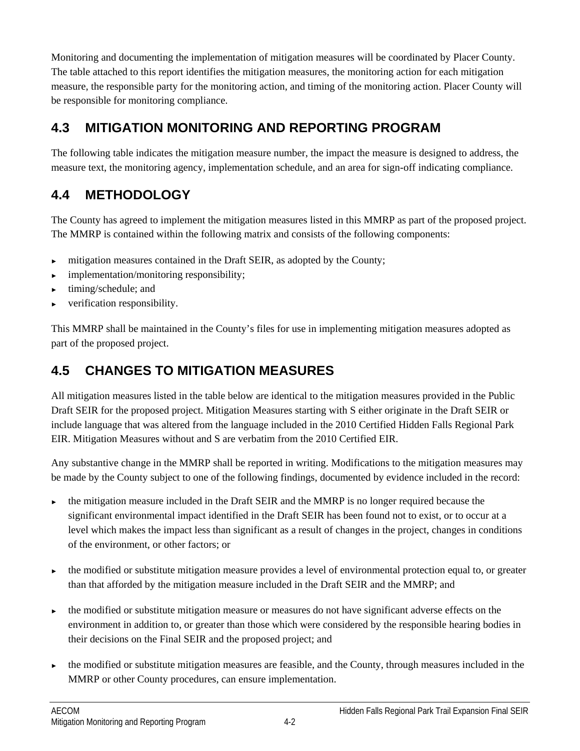Monitoring and documenting the implementation of mitigation measures will be coordinated by Placer County. The table attached to this report identifies the mitigation measures, the monitoring action for each mitigation measure, the responsible party for the monitoring action, and timing of the monitoring action. Placer County will be responsible for monitoring compliance.

## **4.3 MITIGATION MONITORING AND REPORTING PROGRAM**

The following table indicates the mitigation measure number, the impact the measure is designed to address, the measure text, the monitoring agency, implementation schedule, and an area for sign-off indicating compliance.

# **4.4 METHODOLOGY**

The County has agreed to implement the mitigation measures listed in this MMRP as part of the proposed project. The MMRP is contained within the following matrix and consists of the following components:

- mitigation measures contained in the Draft SEIR, as adopted by the County;
- implementation/monitoring responsibility;
- timing/schedule; and
- verification responsibility.

This MMRP shall be maintained in the County's files for use in implementing mitigation measures adopted as part of the proposed project.

# **4.5 CHANGES TO MITIGATION MEASURES**

All mitigation measures listed in the table below are identical to the mitigation measures provided in the Public Draft SEIR for the proposed project. Mitigation Measures starting with S either originate in the Draft SEIR or include language that was altered from the language included in the 2010 Certified Hidden Falls Regional Park EIR. Mitigation Measures without and S are verbatim from the 2010 Certified EIR.

Any substantive change in the MMRP shall be reported in writing. Modifications to the mitigation measures may be made by the County subject to one of the following findings, documented by evidence included in the record:

- the mitigation measure included in the Draft SEIR and the MMRP is no longer required because the significant environmental impact identified in the Draft SEIR has been found not to exist, or to occur at a level which makes the impact less than significant as a result of changes in the project, changes in conditions of the environment, or other factors; or
- the modified or substitute mitigation measure provides a level of environmental protection equal to, or greater than that afforded by the mitigation measure included in the Draft SEIR and the MMRP; and
- the modified or substitute mitigation measure or measures do not have significant adverse effects on the environment in addition to, or greater than those which were considered by the responsible hearing bodies in their decisions on the Final SEIR and the proposed project; and
- the modified or substitute mitigation measures are feasible, and the County, through measures included in the MMRP or other County procedures, can ensure implementation.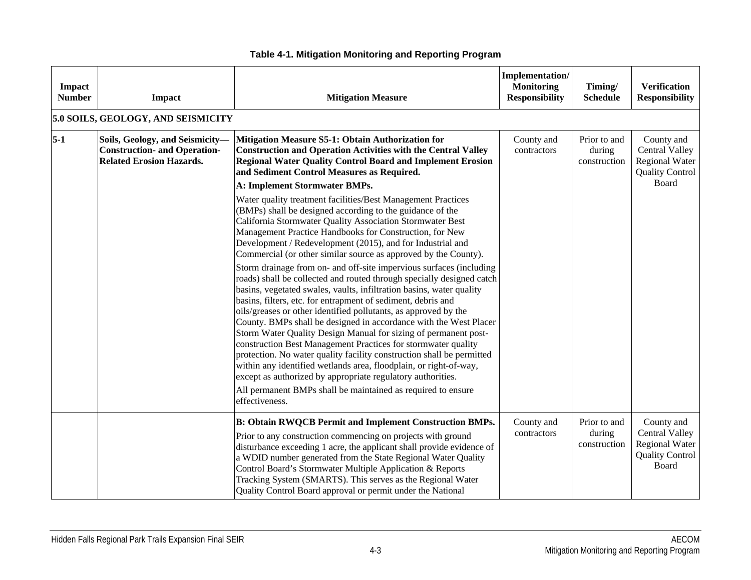| Impact<br><b>Number</b> | Impact                                                                                                    | <b>Mitigation Measure</b>                                                                                                                                                                                                                                                                                                                                                                                                                                                                                                                                                                                                                                                                                                                                                                                                                                                                                                                                                                                                                                                                                                                                                                                                                                                                     | Implementation/<br><b>Monitoring</b><br><b>Responsibility</b> | Timing/<br><b>Schedule</b>             | <b>Verification</b><br><b>Responsibility</b>                                                    |
|-------------------------|-----------------------------------------------------------------------------------------------------------|-----------------------------------------------------------------------------------------------------------------------------------------------------------------------------------------------------------------------------------------------------------------------------------------------------------------------------------------------------------------------------------------------------------------------------------------------------------------------------------------------------------------------------------------------------------------------------------------------------------------------------------------------------------------------------------------------------------------------------------------------------------------------------------------------------------------------------------------------------------------------------------------------------------------------------------------------------------------------------------------------------------------------------------------------------------------------------------------------------------------------------------------------------------------------------------------------------------------------------------------------------------------------------------------------|---------------------------------------------------------------|----------------------------------------|-------------------------------------------------------------------------------------------------|
|                         | 5.0 SOILS, GEOLOGY, AND SEISMICITY                                                                        |                                                                                                                                                                                                                                                                                                                                                                                                                                                                                                                                                                                                                                                                                                                                                                                                                                                                                                                                                                                                                                                                                                                                                                                                                                                                                               |                                                               |                                        |                                                                                                 |
| $5-1$                   | Soils, Geology, and Seismicity-<br><b>Construction- and Operation-</b><br><b>Related Erosion Hazards.</b> | Mitigation Measure S5-1: Obtain Authorization for<br><b>Construction and Operation Activities with the Central Valley</b><br><b>Regional Water Quality Control Board and Implement Erosion</b><br>and Sediment Control Measures as Required.                                                                                                                                                                                                                                                                                                                                                                                                                                                                                                                                                                                                                                                                                                                                                                                                                                                                                                                                                                                                                                                  | County and<br>contractors                                     | Prior to and<br>during<br>construction | County and<br><b>Central Valley</b><br><b>Regional Water</b><br><b>Quality Control</b>          |
|                         |                                                                                                           | <b>A: Implement Stormwater BMPs.</b><br>Water quality treatment facilities/Best Management Practices<br>(BMPs) shall be designed according to the guidance of the<br>California Stormwater Quality Association Stormwater Best<br>Management Practice Handbooks for Construction, for New<br>Development / Redevelopment (2015), and for Industrial and<br>Commercial (or other similar source as approved by the County).<br>Storm drainage from on- and off-site impervious surfaces (including<br>roads) shall be collected and routed through specially designed catch<br>basins, vegetated swales, vaults, infiltration basins, water quality<br>basins, filters, etc. for entrapment of sediment, debris and<br>oils/greases or other identified pollutants, as approved by the<br>County. BMPs shall be designed in accordance with the West Placer<br>Storm Water Quality Design Manual for sizing of permanent post-<br>construction Best Management Practices for stormwater quality<br>protection. No water quality facility construction shall be permitted<br>within any identified wetlands area, floodplain, or right-of-way,<br>except as authorized by appropriate regulatory authorities.<br>All permanent BMPs shall be maintained as required to ensure<br>effectiveness. |                                                               |                                        | Board                                                                                           |
|                         |                                                                                                           | <b>B: Obtain RWQCB Permit and Implement Construction BMPs.</b><br>Prior to any construction commencing on projects with ground<br>disturbance exceeding 1 acre, the applicant shall provide evidence of<br>a WDID number generated from the State Regional Water Quality<br>Control Board's Stormwater Multiple Application & Reports<br>Tracking System (SMARTS). This serves as the Regional Water<br>Quality Control Board approval or permit under the National                                                                                                                                                                                                                                                                                                                                                                                                                                                                                                                                                                                                                                                                                                                                                                                                                           | County and<br>contractors                                     | Prior to and<br>during<br>construction | County and<br><b>Central Valley</b><br><b>Regional Water</b><br><b>Quality Control</b><br>Board |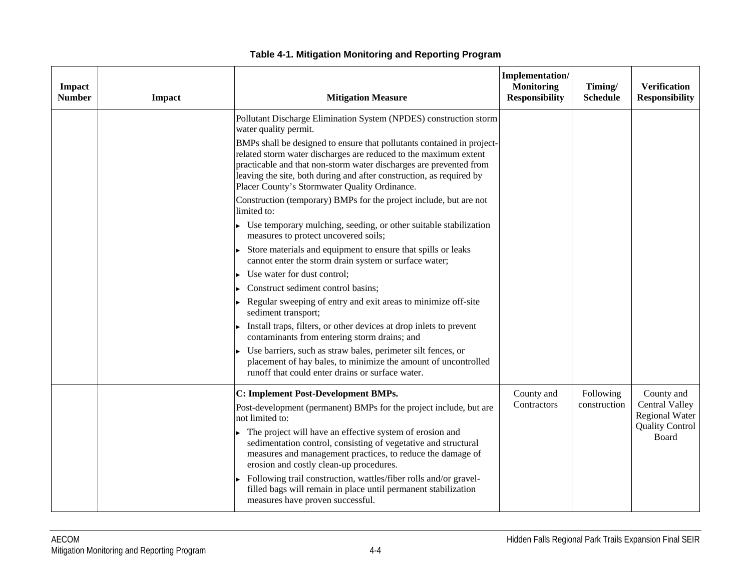| Impact<br><b>Number</b> | Impact | <b>Mitigation Measure</b>                                                                                                                                                                                                                                                                                                                 | Implementation/<br><b>Monitoring</b><br><b>Responsibility</b> | Timing/<br><b>Schedule</b> | <b>Verification</b><br><b>Responsibility</b>   |
|-------------------------|--------|-------------------------------------------------------------------------------------------------------------------------------------------------------------------------------------------------------------------------------------------------------------------------------------------------------------------------------------------|---------------------------------------------------------------|----------------------------|------------------------------------------------|
|                         |        | Pollutant Discharge Elimination System (NPDES) construction storm<br>water quality permit.                                                                                                                                                                                                                                                |                                                               |                            |                                                |
|                         |        | BMPs shall be designed to ensure that pollutants contained in project-<br>related storm water discharges are reduced to the maximum extent<br>practicable and that non-storm water discharges are prevented from<br>leaving the site, both during and after construction, as required by<br>Placer County's Stormwater Quality Ordinance. |                                                               |                            |                                                |
|                         |        | Construction (temporary) BMPs for the project include, but are not<br>limited to:                                                                                                                                                                                                                                                         |                                                               |                            |                                                |
|                         |        | Use temporary mulching, seeding, or other suitable stabilization<br>measures to protect uncovered soils;                                                                                                                                                                                                                                  |                                                               |                            |                                                |
|                         |        | Store materials and equipment to ensure that spills or leaks<br>cannot enter the storm drain system or surface water;                                                                                                                                                                                                                     |                                                               |                            |                                                |
|                         |        | Use water for dust control;                                                                                                                                                                                                                                                                                                               |                                                               |                            |                                                |
|                         |        | Construct sediment control basins;                                                                                                                                                                                                                                                                                                        |                                                               |                            |                                                |
|                         |        | Regular sweeping of entry and exit areas to minimize off-site<br>sediment transport;                                                                                                                                                                                                                                                      |                                                               |                            |                                                |
|                         |        | Install traps, filters, or other devices at drop inlets to prevent<br>contaminants from entering storm drains; and                                                                                                                                                                                                                        |                                                               |                            |                                                |
|                         |        | Use barriers, such as straw bales, perimeter silt fences, or<br>placement of hay bales, to minimize the amount of uncontrolled<br>runoff that could enter drains or surface water.                                                                                                                                                        |                                                               |                            |                                                |
|                         |        | C: Implement Post-Development BMPs.                                                                                                                                                                                                                                                                                                       | County and                                                    | Following                  | County and                                     |
|                         |        | Post-development (permanent) BMPs for the project include, but are<br>not limited to:                                                                                                                                                                                                                                                     | Contractors                                                   | construction               | <b>Central Valley</b><br><b>Regional Water</b> |
|                         |        | The project will have an effective system of erosion and<br>sedimentation control, consisting of vegetative and structural<br>measures and management practices, to reduce the damage of<br>erosion and costly clean-up procedures.                                                                                                       |                                                               |                            | <b>Quality Control</b><br>Board                |
|                         |        | Following trail construction, wattles/fiber rolls and/or gravel-<br>filled bags will remain in place until permanent stabilization<br>measures have proven successful.                                                                                                                                                                    |                                                               |                            |                                                |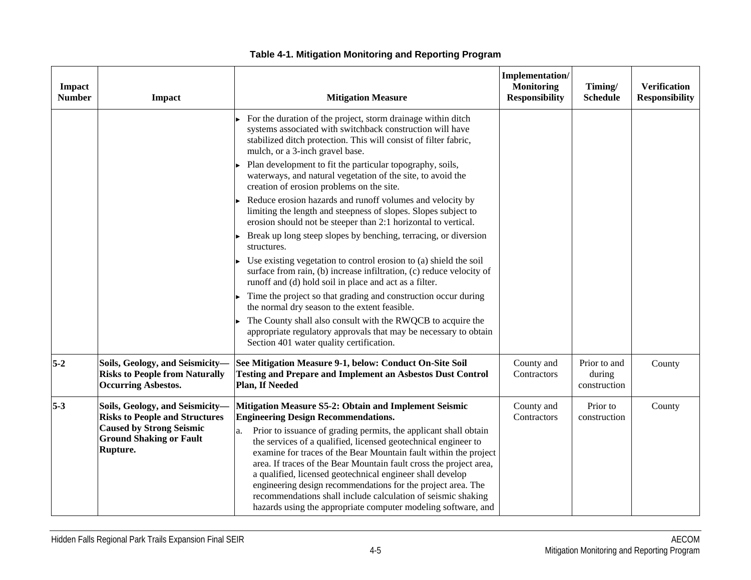| Impact<br><b>Number</b> | <b>Impact</b>                                                                                                                                             | <b>Mitigation Measure</b>                                                                                                                                                                                                                                                                                                                                                                                                                                                                                                                                                                                                                               | Implementation/<br><b>Monitoring</b><br><b>Responsibility</b> | Timing/<br><b>Schedule</b>             | <b>Verification</b><br><b>Responsibility</b> |
|-------------------------|-----------------------------------------------------------------------------------------------------------------------------------------------------------|---------------------------------------------------------------------------------------------------------------------------------------------------------------------------------------------------------------------------------------------------------------------------------------------------------------------------------------------------------------------------------------------------------------------------------------------------------------------------------------------------------------------------------------------------------------------------------------------------------------------------------------------------------|---------------------------------------------------------------|----------------------------------------|----------------------------------------------|
|                         |                                                                                                                                                           | For the duration of the project, storm drainage within ditch<br>systems associated with switchback construction will have<br>stabilized ditch protection. This will consist of filter fabric,<br>mulch, or a 3-inch gravel base.                                                                                                                                                                                                                                                                                                                                                                                                                        |                                                               |                                        |                                              |
|                         |                                                                                                                                                           | Plan development to fit the particular topography, soils,<br>waterways, and natural vegetation of the site, to avoid the<br>creation of erosion problems on the site.                                                                                                                                                                                                                                                                                                                                                                                                                                                                                   |                                                               |                                        |                                              |
|                         |                                                                                                                                                           | Reduce erosion hazards and runoff volumes and velocity by<br>limiting the length and steepness of slopes. Slopes subject to<br>erosion should not be steeper than 2:1 horizontal to vertical.                                                                                                                                                                                                                                                                                                                                                                                                                                                           |                                                               |                                        |                                              |
|                         |                                                                                                                                                           | Break up long steep slopes by benching, terracing, or diversion<br>structures.                                                                                                                                                                                                                                                                                                                                                                                                                                                                                                                                                                          |                                                               |                                        |                                              |
|                         |                                                                                                                                                           | Use existing vegetation to control erosion to (a) shield the soil<br>surface from rain, (b) increase infiltration, (c) reduce velocity of<br>runoff and (d) hold soil in place and act as a filter.                                                                                                                                                                                                                                                                                                                                                                                                                                                     |                                                               |                                        |                                              |
|                         |                                                                                                                                                           | Time the project so that grading and construction occur during<br>the normal dry season to the extent feasible.                                                                                                                                                                                                                                                                                                                                                                                                                                                                                                                                         |                                                               |                                        |                                              |
|                         |                                                                                                                                                           | The County shall also consult with the RWQCB to acquire the<br>appropriate regulatory approvals that may be necessary to obtain<br>Section 401 water quality certification.                                                                                                                                                                                                                                                                                                                                                                                                                                                                             |                                                               |                                        |                                              |
| $5-2$                   | Soils, Geology, and Seismicity-<br><b>Risks to People from Naturally</b><br><b>Occurring Asbestos.</b>                                                    | See Mitigation Measure 9-1, below: Conduct On-Site Soil<br><b>Testing and Prepare and Implement an Asbestos Dust Control</b><br>Plan, If Needed                                                                                                                                                                                                                                                                                                                                                                                                                                                                                                         | County and<br>Contractors                                     | Prior to and<br>during<br>construction | County                                       |
| $5-3$                   | Soils, Geology, and Seismicity-<br><b>Risks to People and Structures</b><br><b>Caused by Strong Seismic</b><br><b>Ground Shaking or Fault</b><br>Rupture. | Mitigation Measure S5-2: Obtain and Implement Seismic<br><b>Engineering Design Recommendations.</b><br>Prior to issuance of grading permits, the applicant shall obtain<br>а.<br>the services of a qualified, licensed geotechnical engineer to<br>examine for traces of the Bear Mountain fault within the project<br>area. If traces of the Bear Mountain fault cross the project area,<br>a qualified, licensed geotechnical engineer shall develop<br>engineering design recommendations for the project area. The<br>recommendations shall include calculation of seismic shaking<br>hazards using the appropriate computer modeling software, and | County and<br>Contractors                                     | Prior to<br>construction               | County                                       |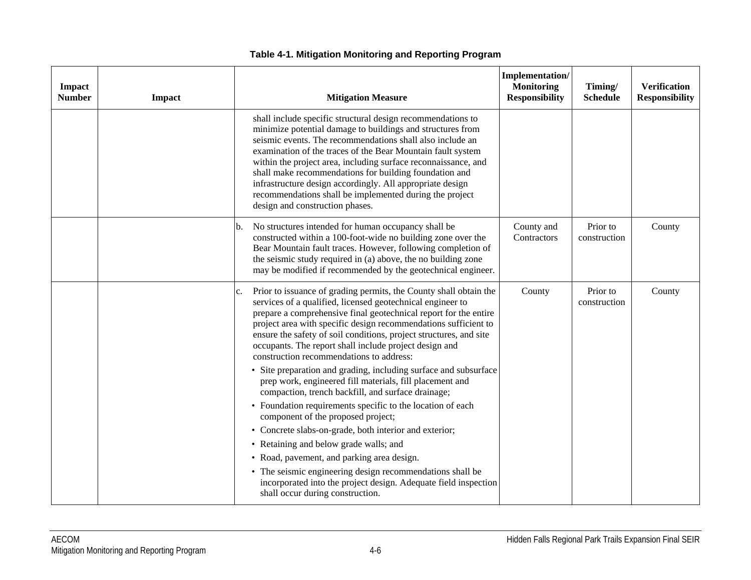| Impact<br><b>Number</b> | Impact | <b>Mitigation Measure</b>                                                                                                                                                                                                                                                                                                                                                                                                                                                                                                                                                                                                                                                                                                                                                                                                                                                                                                                                                                                                            | Implementation/<br><b>Monitoring</b><br><b>Responsibility</b> | Timing/<br><b>Schedule</b> | <b>Verification</b><br><b>Responsibility</b> |
|-------------------------|--------|--------------------------------------------------------------------------------------------------------------------------------------------------------------------------------------------------------------------------------------------------------------------------------------------------------------------------------------------------------------------------------------------------------------------------------------------------------------------------------------------------------------------------------------------------------------------------------------------------------------------------------------------------------------------------------------------------------------------------------------------------------------------------------------------------------------------------------------------------------------------------------------------------------------------------------------------------------------------------------------------------------------------------------------|---------------------------------------------------------------|----------------------------|----------------------------------------------|
|                         |        | shall include specific structural design recommendations to<br>minimize potential damage to buildings and structures from<br>seismic events. The recommendations shall also include an<br>examination of the traces of the Bear Mountain fault system<br>within the project area, including surface reconnaissance, and<br>shall make recommendations for building foundation and<br>infrastructure design accordingly. All appropriate design<br>recommendations shall be implemented during the project<br>design and construction phases.                                                                                                                                                                                                                                                                                                                                                                                                                                                                                         |                                                               |                            |                                              |
|                         |        | No structures intended for human occupancy shall be<br>constructed within a 100-foot-wide no building zone over the<br>Bear Mountain fault traces. However, following completion of<br>the seismic study required in (a) above, the no building zone<br>may be modified if recommended by the geotechnical engineer.                                                                                                                                                                                                                                                                                                                                                                                                                                                                                                                                                                                                                                                                                                                 | County and<br>Contractors                                     | Prior to<br>construction   | County                                       |
|                         |        | Prior to issuance of grading permits, the County shall obtain the<br>c.<br>services of a qualified, licensed geotechnical engineer to<br>prepare a comprehensive final geotechnical report for the entire<br>project area with specific design recommendations sufficient to<br>ensure the safety of soil conditions, project structures, and site<br>occupants. The report shall include project design and<br>construction recommendations to address:<br>• Site preparation and grading, including surface and subsurface<br>prep work, engineered fill materials, fill placement and<br>compaction, trench backfill, and surface drainage;<br>• Foundation requirements specific to the location of each<br>component of the proposed project;<br>• Concrete slabs-on-grade, both interior and exterior;<br>• Retaining and below grade walls; and<br>• Road, pavement, and parking area design.<br>• The seismic engineering design recommendations shall be<br>incorporated into the project design. Adequate field inspection | County                                                        | Prior to<br>construction   | County                                       |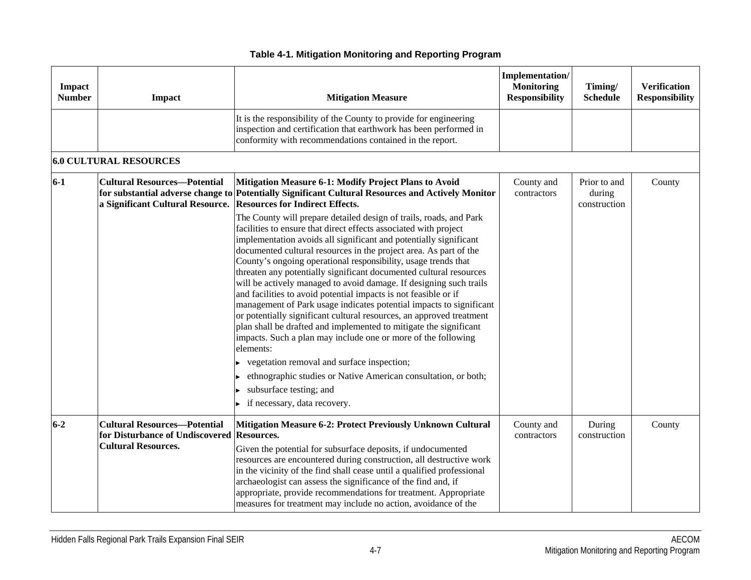| Impact<br><b>Number</b> | <b>Impact</b>                                                                                                   | <b>Mitigation Measure</b>                                                                                                                                                                                                                                                                                                                                                                                                                                                                                                                                                                                                                                                                                                                                                                                                                                                                                                                                                                                                                                                                                                                                                                                                                              | Implementation/<br><b>Monitoring</b><br><b>Responsibility</b> | Timing/<br><b>Schedule</b>             | <b>Verification</b><br><b>Responsibility</b> |
|-------------------------|-----------------------------------------------------------------------------------------------------------------|--------------------------------------------------------------------------------------------------------------------------------------------------------------------------------------------------------------------------------------------------------------------------------------------------------------------------------------------------------------------------------------------------------------------------------------------------------------------------------------------------------------------------------------------------------------------------------------------------------------------------------------------------------------------------------------------------------------------------------------------------------------------------------------------------------------------------------------------------------------------------------------------------------------------------------------------------------------------------------------------------------------------------------------------------------------------------------------------------------------------------------------------------------------------------------------------------------------------------------------------------------|---------------------------------------------------------------|----------------------------------------|----------------------------------------------|
|                         |                                                                                                                 | It is the responsibility of the County to provide for engineering<br>inspection and certification that earthwork has been performed in<br>conformity with recommendations contained in the report.                                                                                                                                                                                                                                                                                                                                                                                                                                                                                                                                                                                                                                                                                                                                                                                                                                                                                                                                                                                                                                                     |                                                               |                                        |                                              |
|                         | <b>6.0 CULTURAL RESOURCES</b>                                                                                   |                                                                                                                                                                                                                                                                                                                                                                                                                                                                                                                                                                                                                                                                                                                                                                                                                                                                                                                                                                                                                                                                                                                                                                                                                                                        |                                                               |                                        |                                              |
| $6-1$                   | <b>Cultural Resources-Potential</b><br>a Significant Cultural Resource.                                         | Mitigation Measure 6-1: Modify Project Plans to Avoid<br>for substantial adverse change to Potentially Significant Cultural Resources and Actively Monitor<br><b>Resources for Indirect Effects.</b><br>The County will prepare detailed design of trails, roads, and Park<br>facilities to ensure that direct effects associated with project<br>implementation avoids all significant and potentially significant<br>documented cultural resources in the project area. As part of the<br>County's ongoing operational responsibility, usage trends that<br>threaten any potentially significant documented cultural resources<br>will be actively managed to avoid damage. If designing such trails<br>and facilities to avoid potential impacts is not feasible or if<br>management of Park usage indicates potential impacts to significant<br>or potentially significant cultural resources, an approved treatment<br>plan shall be drafted and implemented to mitigate the significant<br>impacts. Such a plan may include one or more of the following<br>elements:<br>vegetation removal and surface inspection;<br>ethnographic studies or Native American consultation, or both;<br>subsurface testing; and<br>if necessary, data recovery. | County and<br>contractors                                     | Prior to and<br>during<br>construction | County                                       |
| $6 - 2$                 | <b>Cultural Resources-Potential</b><br>for Disturbance of Undiscovered Resources.<br><b>Cultural Resources.</b> | <b>Mitigation Measure 6-2: Protect Previously Unknown Cultural</b><br>Given the potential for subsurface deposits, if undocumented<br>resources are encountered during construction, all destructive work<br>in the vicinity of the find shall cease until a qualified professional<br>archaeologist can assess the significance of the find and, if<br>appropriate, provide recommendations for treatment. Appropriate<br>measures for treatment may include no action, avoidance of the                                                                                                                                                                                                                                                                                                                                                                                                                                                                                                                                                                                                                                                                                                                                                              | County and<br>contractors                                     | During<br>construction                 | County                                       |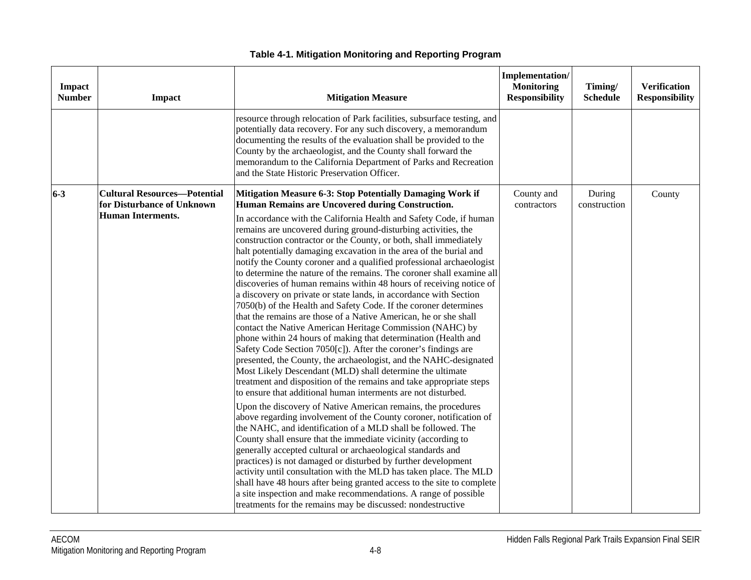| <b>Impact</b><br><b>Number</b> | <b>Impact</b>                                                                                 | <b>Mitigation Measure</b>                                                                                                                                                                                                                                                                                                                                                                                                                                                                                                                                                                                                                                                                                                                                                                                                                                                                                                                                                                                                                                                                                                                                                                                                                                                                                                                                                                                                                                                                                                                                                                                                                                                                                                                                                                                                                                                                                                                                                                                        | Implementation/<br><b>Monitoring</b><br><b>Responsibility</b> | Timing/<br><b>Schedule</b> | <b>Verification</b><br><b>Responsibility</b> |
|--------------------------------|-----------------------------------------------------------------------------------------------|------------------------------------------------------------------------------------------------------------------------------------------------------------------------------------------------------------------------------------------------------------------------------------------------------------------------------------------------------------------------------------------------------------------------------------------------------------------------------------------------------------------------------------------------------------------------------------------------------------------------------------------------------------------------------------------------------------------------------------------------------------------------------------------------------------------------------------------------------------------------------------------------------------------------------------------------------------------------------------------------------------------------------------------------------------------------------------------------------------------------------------------------------------------------------------------------------------------------------------------------------------------------------------------------------------------------------------------------------------------------------------------------------------------------------------------------------------------------------------------------------------------------------------------------------------------------------------------------------------------------------------------------------------------------------------------------------------------------------------------------------------------------------------------------------------------------------------------------------------------------------------------------------------------------------------------------------------------------------------------------------------------|---------------------------------------------------------------|----------------------------|----------------------------------------------|
|                                |                                                                                               | resource through relocation of Park facilities, subsurface testing, and<br>potentially data recovery. For any such discovery, a memorandum<br>documenting the results of the evaluation shall be provided to the<br>County by the archaeologist, and the County shall forward the<br>memorandum to the California Department of Parks and Recreation<br>and the State Historic Preservation Officer.                                                                                                                                                                                                                                                                                                                                                                                                                                                                                                                                                                                                                                                                                                                                                                                                                                                                                                                                                                                                                                                                                                                                                                                                                                                                                                                                                                                                                                                                                                                                                                                                             |                                                               |                            |                                              |
| $6-3$                          | <b>Cultural Resources-Potential</b><br>for Disturbance of Unknown<br><b>Human Interments.</b> | <b>Mitigation Measure 6-3: Stop Potentially Damaging Work if</b><br>Human Remains are Uncovered during Construction.<br>In accordance with the California Health and Safety Code, if human<br>remains are uncovered during ground-disturbing activities, the<br>construction contractor or the County, or both, shall immediately<br>halt potentially damaging excavation in the area of the burial and<br>notify the County coroner and a qualified professional archaeologist<br>to determine the nature of the remains. The coroner shall examine all<br>discoveries of human remains within 48 hours of receiving notice of<br>a discovery on private or state lands, in accordance with Section<br>7050(b) of the Health and Safety Code. If the coroner determines<br>that the remains are those of a Native American, he or she shall<br>contact the Native American Heritage Commission (NAHC) by<br>phone within 24 hours of making that determination (Health and<br>Safety Code Section 7050[c]). After the coroner's findings are<br>presented, the County, the archaeologist, and the NAHC-designated<br>Most Likely Descendant (MLD) shall determine the ultimate<br>treatment and disposition of the remains and take appropriate steps<br>to ensure that additional human interments are not disturbed.<br>Upon the discovery of Native American remains, the procedures<br>above regarding involvement of the County coroner, notification of<br>the NAHC, and identification of a MLD shall be followed. The<br>County shall ensure that the immediate vicinity (according to<br>generally accepted cultural or archaeological standards and<br>practices) is not damaged or disturbed by further development<br>activity until consultation with the MLD has taken place. The MLD<br>shall have 48 hours after being granted access to the site to complete<br>a site inspection and make recommendations. A range of possible<br>treatments for the remains may be discussed: nondestructive | County and<br>contractors                                     | During<br>construction     | County                                       |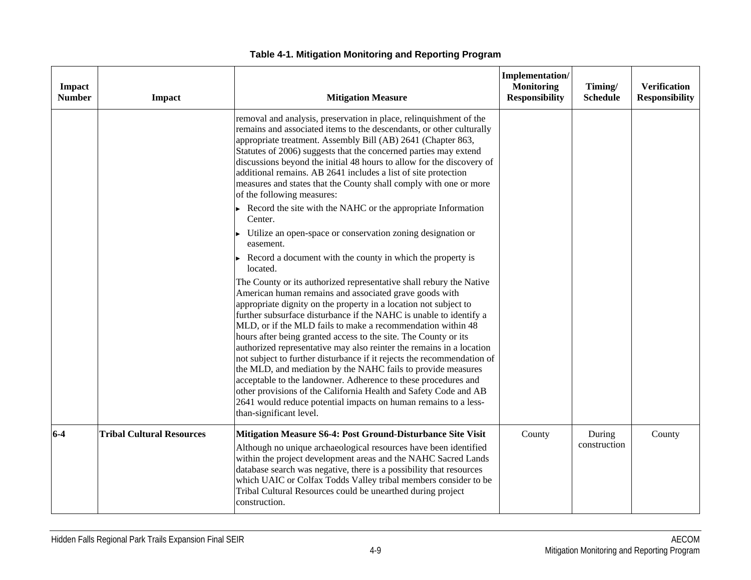| <b>Impact</b><br><b>Number</b> | Impact                           | <b>Mitigation Measure</b>                                                                                                                                                                                                                                                                                                                                                                                                                                                                                                                                                                                                                                                                                                                                                                                                                                       | Implementation/<br><b>Monitoring</b><br><b>Responsibility</b> | Timing/<br><b>Schedule</b> | <b>Verification</b><br><b>Responsibility</b> |
|--------------------------------|----------------------------------|-----------------------------------------------------------------------------------------------------------------------------------------------------------------------------------------------------------------------------------------------------------------------------------------------------------------------------------------------------------------------------------------------------------------------------------------------------------------------------------------------------------------------------------------------------------------------------------------------------------------------------------------------------------------------------------------------------------------------------------------------------------------------------------------------------------------------------------------------------------------|---------------------------------------------------------------|----------------------------|----------------------------------------------|
|                                |                                  | removal and analysis, preservation in place, relinquishment of the<br>remains and associated items to the descendants, or other culturally<br>appropriate treatment. Assembly Bill (AB) 2641 (Chapter 863,<br>Statutes of 2006) suggests that the concerned parties may extend<br>discussions beyond the initial 48 hours to allow for the discovery of<br>additional remains. AB 2641 includes a list of site protection<br>measures and states that the County shall comply with one or more<br>of the following measures:                                                                                                                                                                                                                                                                                                                                    |                                                               |                            |                                              |
|                                |                                  | Record the site with the NAHC or the appropriate Information<br>Center.<br>Utilize an open-space or conservation zoning designation or<br>easement.                                                                                                                                                                                                                                                                                                                                                                                                                                                                                                                                                                                                                                                                                                             |                                                               |                            |                                              |
|                                |                                  | Record a document with the county in which the property is<br>located.                                                                                                                                                                                                                                                                                                                                                                                                                                                                                                                                                                                                                                                                                                                                                                                          |                                                               |                            |                                              |
|                                |                                  | The County or its authorized representative shall rebury the Native<br>American human remains and associated grave goods with<br>appropriate dignity on the property in a location not subject to<br>further subsurface disturbance if the NAHC is unable to identify a<br>MLD, or if the MLD fails to make a recommendation within 48<br>hours after being granted access to the site. The County or its<br>authorized representative may also reinter the remains in a location<br>not subject to further disturbance if it rejects the recommendation of<br>the MLD, and mediation by the NAHC fails to provide measures<br>acceptable to the landowner. Adherence to these procedures and<br>other provisions of the California Health and Safety Code and AB<br>2641 would reduce potential impacts on human remains to a less-<br>than-significant level. |                                                               |                            |                                              |
| $6-4$                          | <b>Tribal Cultural Resources</b> | Mitigation Measure S6-4: Post Ground-Disturbance Site Visit<br>Although no unique archaeological resources have been identified<br>within the project development areas and the NAHC Sacred Lands<br>database search was negative, there is a possibility that resources<br>which UAIC or Colfax Todds Valley tribal members consider to be<br>Tribal Cultural Resources could be unearthed during project<br>construction.                                                                                                                                                                                                                                                                                                                                                                                                                                     | County                                                        | During<br>construction     | County                                       |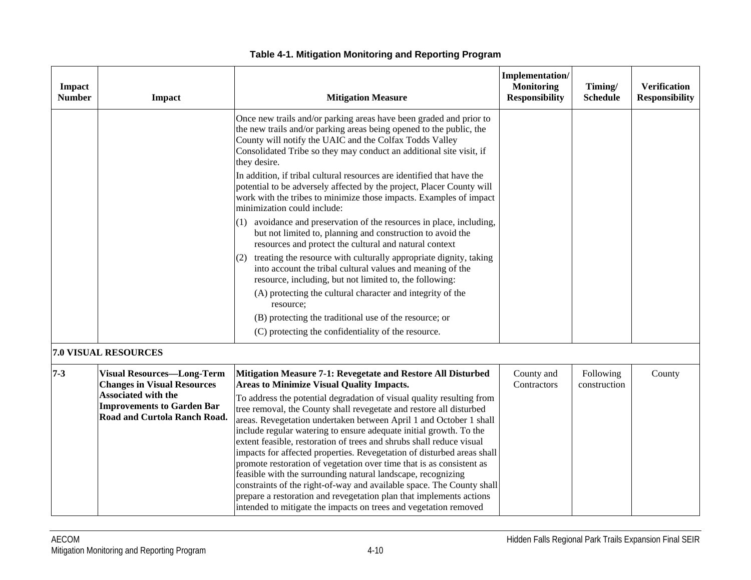| <b>Impact</b><br><b>Number</b> | Impact                                                                                                                                                                     | <b>Mitigation Measure</b>                                                                                                                                                                                                                                                                                                                                                                                                                                                                                                                                                                                                                                                                                                                                                                                                                                                                                                                                                                                                                                                                                                                              | <b>Implementation/</b><br><b>Monitoring</b><br><b>Responsibility</b> | Timing/<br><b>Schedule</b> | <b>Verification</b><br><b>Responsibility</b> |
|--------------------------------|----------------------------------------------------------------------------------------------------------------------------------------------------------------------------|--------------------------------------------------------------------------------------------------------------------------------------------------------------------------------------------------------------------------------------------------------------------------------------------------------------------------------------------------------------------------------------------------------------------------------------------------------------------------------------------------------------------------------------------------------------------------------------------------------------------------------------------------------------------------------------------------------------------------------------------------------------------------------------------------------------------------------------------------------------------------------------------------------------------------------------------------------------------------------------------------------------------------------------------------------------------------------------------------------------------------------------------------------|----------------------------------------------------------------------|----------------------------|----------------------------------------------|
|                                |                                                                                                                                                                            | Once new trails and/or parking areas have been graded and prior to<br>the new trails and/or parking areas being opened to the public, the<br>County will notify the UAIC and the Colfax Todds Valley<br>Consolidated Tribe so they may conduct an additional site visit, if<br>they desire.<br>In addition, if tribal cultural resources are identified that have the<br>potential to be adversely affected by the project, Placer County will<br>work with the tribes to minimize those impacts. Examples of impact<br>minimization could include:<br>$(1)$ avoidance and preservation of the resources in place, including,<br>but not limited to, planning and construction to avoid the<br>resources and protect the cultural and natural context<br>treating the resource with culturally appropriate dignity, taking<br>(2)<br>into account the tribal cultural values and meaning of the<br>resource, including, but not limited to, the following:<br>(A) protecting the cultural character and integrity of the<br>resource;<br>(B) protecting the traditional use of the resource; or<br>(C) protecting the confidentiality of the resource. |                                                                      |                            |                                              |
|                                | 7.0 VISUAL RESOURCES                                                                                                                                                       |                                                                                                                                                                                                                                                                                                                                                                                                                                                                                                                                                                                                                                                                                                                                                                                                                                                                                                                                                                                                                                                                                                                                                        |                                                                      |                            |                                              |
| $7 - 3$                        | <b>Visual Resources-Long-Term</b><br><b>Changes in Visual Resources</b><br><b>Associated with the</b><br><b>Improvements to Garden Bar</b><br>Road and Curtola Ranch Road. | Mitigation Measure 7-1: Revegetate and Restore All Disturbed<br><b>Areas to Minimize Visual Quality Impacts.</b><br>To address the potential degradation of visual quality resulting from<br>tree removal, the County shall revegetate and restore all disturbed<br>areas. Revegetation undertaken between April 1 and October 1 shall<br>include regular watering to ensure adequate initial growth. To the<br>extent feasible, restoration of trees and shrubs shall reduce visual<br>impacts for affected properties. Revegetation of disturbed areas shall<br>promote restoration of vegetation over time that is as consistent as<br>feasible with the surrounding natural landscape, recognizing<br>constraints of the right-of-way and available space. The County shall<br>prepare a restoration and revegetation plan that implements actions<br>intended to mitigate the impacts on trees and vegetation removed                                                                                                                                                                                                                             | County and<br>Contractors                                            | Following<br>construction  | County                                       |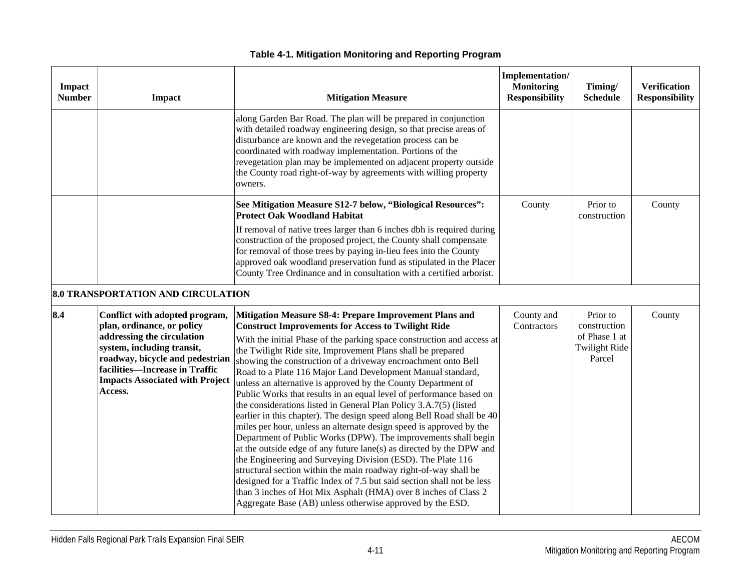| Impact<br><b>Number</b> | Impact                                                                                                                                                                                                                                             | <b>Mitigation Measure</b>                                                                                                                                                                                                                                                                                                                                                                                                                                                                                                                                                                                                                                                                                                                                                                                                                                                                                                                                                                                                                                                                                                                                                                                                                         | Implementation/<br><b>Monitoring</b><br><b>Responsibility</b> | Timing/<br><b>Schedule</b>                                                  | <b>Verification</b><br><b>Responsibility</b> |
|-------------------------|----------------------------------------------------------------------------------------------------------------------------------------------------------------------------------------------------------------------------------------------------|---------------------------------------------------------------------------------------------------------------------------------------------------------------------------------------------------------------------------------------------------------------------------------------------------------------------------------------------------------------------------------------------------------------------------------------------------------------------------------------------------------------------------------------------------------------------------------------------------------------------------------------------------------------------------------------------------------------------------------------------------------------------------------------------------------------------------------------------------------------------------------------------------------------------------------------------------------------------------------------------------------------------------------------------------------------------------------------------------------------------------------------------------------------------------------------------------------------------------------------------------|---------------------------------------------------------------|-----------------------------------------------------------------------------|----------------------------------------------|
|                         |                                                                                                                                                                                                                                                    | along Garden Bar Road. The plan will be prepared in conjunction<br>with detailed roadway engineering design, so that precise areas of<br>disturbance are known and the revegetation process can be<br>coordinated with roadway implementation. Portions of the<br>revegetation plan may be implemented on adjacent property outside<br>the County road right-of-way by agreements with willing property<br>owners.                                                                                                                                                                                                                                                                                                                                                                                                                                                                                                                                                                                                                                                                                                                                                                                                                                |                                                               |                                                                             |                                              |
|                         |                                                                                                                                                                                                                                                    | See Mitigation Measure S12-7 below, "Biological Resources":<br><b>Protect Oak Woodland Habitat</b><br>If removal of native trees larger than 6 inches dbh is required during<br>construction of the proposed project, the County shall compensate<br>for removal of those trees by paying in-lieu fees into the County<br>approved oak woodland preservation fund as stipulated in the Placer<br>County Tree Ordinance and in consultation with a certified arborist.                                                                                                                                                                                                                                                                                                                                                                                                                                                                                                                                                                                                                                                                                                                                                                             | County                                                        | Prior to<br>construction                                                    | County                                       |
|                         | <b>8.0 TRANSPORTATION AND CIRCULATION</b>                                                                                                                                                                                                          |                                                                                                                                                                                                                                                                                                                                                                                                                                                                                                                                                                                                                                                                                                                                                                                                                                                                                                                                                                                                                                                                                                                                                                                                                                                   |                                                               |                                                                             |                                              |
| 8.4                     | Conflict with adopted program,<br>plan, ordinance, or policy<br>addressing the circulation<br>system, including transit,<br>roadway, bicycle and pedestrian<br>facilities-Increase in Traffic<br><b>Impacts Associated with Project</b><br>Access. | Mitigation Measure S8-4: Prepare Improvement Plans and<br><b>Construct Improvements for Access to Twilight Ride</b><br>With the initial Phase of the parking space construction and access at<br>the Twilight Ride site, Improvement Plans shall be prepared<br>showing the construction of a driveway encroachment onto Bell<br>Road to a Plate 116 Major Land Development Manual standard,<br>unless an alternative is approved by the County Department of<br>Public Works that results in an equal level of performance based on<br>the considerations listed in General Plan Policy 3.A.7(5) (listed<br>earlier in this chapter). The design speed along Bell Road shall be 40<br>miles per hour, unless an alternate design speed is approved by the<br>Department of Public Works (DPW). The improvements shall begin<br>at the outside edge of any future lane(s) as directed by the DPW and<br>the Engineering and Surveying Division (ESD). The Plate 116<br>structural section within the main roadway right-of-way shall be<br>designed for a Traffic Index of 7.5 but said section shall not be less<br>than 3 inches of Hot Mix Asphalt (HMA) over 8 inches of Class 2<br>Aggregate Base (AB) unless otherwise approved by the ESD. | County and<br>Contractors                                     | Prior to<br>construction<br>of Phase 1 at<br><b>Twilight Ride</b><br>Parcel | County                                       |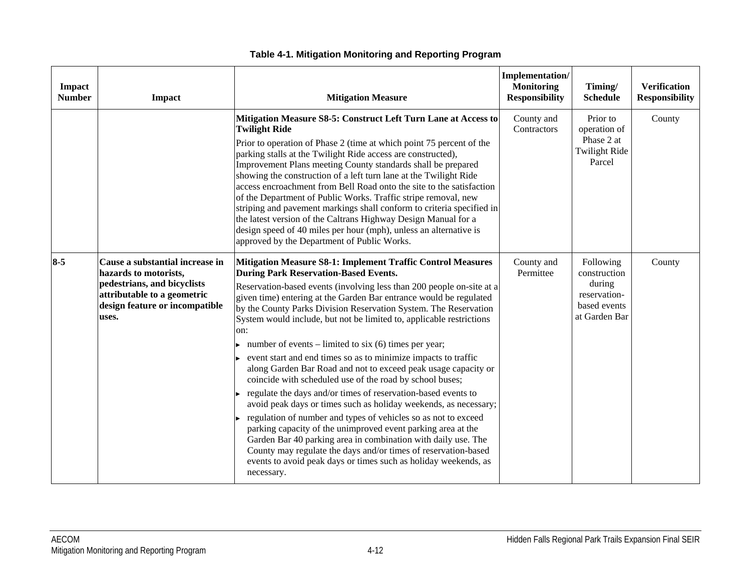| Impact<br><b>Number</b> | Impact                                                                                                                                                            | <b>Mitigation Measure</b>                                                                                                                                                                                                                                                                                                                                                                                                                                                                                                                                                                                                                                                                                                                                                                                                                                                                                                                                                                                                                                                                                                                                         | Implementation/<br><b>Monitoring</b><br><b>Responsibility</b> | Timing/<br><b>Schedule</b>                                                           | <b>Verification</b><br><b>Responsibility</b> |
|-------------------------|-------------------------------------------------------------------------------------------------------------------------------------------------------------------|-------------------------------------------------------------------------------------------------------------------------------------------------------------------------------------------------------------------------------------------------------------------------------------------------------------------------------------------------------------------------------------------------------------------------------------------------------------------------------------------------------------------------------------------------------------------------------------------------------------------------------------------------------------------------------------------------------------------------------------------------------------------------------------------------------------------------------------------------------------------------------------------------------------------------------------------------------------------------------------------------------------------------------------------------------------------------------------------------------------------------------------------------------------------|---------------------------------------------------------------|--------------------------------------------------------------------------------------|----------------------------------------------|
|                         |                                                                                                                                                                   | Mitigation Measure S8-5: Construct Left Turn Lane at Access to<br><b>Twilight Ride</b><br>Prior to operation of Phase 2 (time at which point 75 percent of the<br>parking stalls at the Twilight Ride access are constructed),<br>Improvement Plans meeting County standards shall be prepared<br>showing the construction of a left turn lane at the Twilight Ride<br>access encroachment from Bell Road onto the site to the satisfaction<br>of the Department of Public Works. Traffic stripe removal, new<br>striping and pavement markings shall conform to criteria specified in<br>the latest version of the Caltrans Highway Design Manual for a<br>design speed of 40 miles per hour (mph), unless an alternative is<br>approved by the Department of Public Works.                                                                                                                                                                                                                                                                                                                                                                                      | County and<br>Contractors                                     | Prior to<br>operation of<br>Phase 2 at<br><b>Twilight Ride</b><br>Parcel             | County                                       |
| $8 - 5$                 | Cause a substantial increase in<br>hazards to motorists,<br>pedestrians, and bicyclists<br>attributable to a geometric<br>design feature or incompatible<br>uses. | Mitigation Measure S8-1: Implement Traffic Control Measures<br><b>During Park Reservation-Based Events.</b><br>Reservation-based events (involving less than 200 people on-site at a<br>given time) entering at the Garden Bar entrance would be regulated<br>by the County Parks Division Reservation System. The Reservation<br>System would include, but not be limited to, applicable restrictions<br>on:<br>number of events – limited to six (6) times per year;<br>event start and end times so as to minimize impacts to traffic<br>along Garden Bar Road and not to exceed peak usage capacity or<br>coincide with scheduled use of the road by school buses;<br>regulate the days and/or times of reservation-based events to<br>avoid peak days or times such as holiday weekends, as necessary;<br>regulation of number and types of vehicles so as not to exceed<br>parking capacity of the unimproved event parking area at the<br>Garden Bar 40 parking area in combination with daily use. The<br>County may regulate the days and/or times of reservation-based<br>events to avoid peak days or times such as holiday weekends, as<br>necessary. | County and<br>Permittee                                       | Following<br>construction<br>during<br>reservation-<br>based events<br>at Garden Bar | County                                       |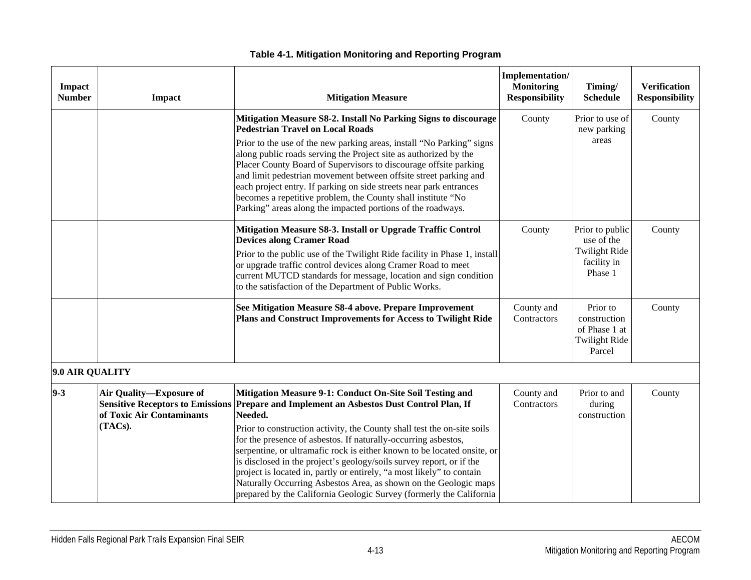| Impact<br><b>Number</b> | Impact                                                          | <b>Mitigation Measure</b>                                                                                                                                                                                                                                                                                                                                                                                                                                                                                                                                                                                                                                                           | <b>Implementation/</b><br><b>Monitoring</b><br><b>Responsibility</b> | Timing/<br><b>Schedule</b>                                                      | <b>Verification</b><br><b>Responsibility</b> |
|-------------------------|-----------------------------------------------------------------|-------------------------------------------------------------------------------------------------------------------------------------------------------------------------------------------------------------------------------------------------------------------------------------------------------------------------------------------------------------------------------------------------------------------------------------------------------------------------------------------------------------------------------------------------------------------------------------------------------------------------------------------------------------------------------------|----------------------------------------------------------------------|---------------------------------------------------------------------------------|----------------------------------------------|
|                         |                                                                 | Mitigation Measure S8-2. Install No Parking Signs to discourage<br><b>Pedestrian Travel on Local Roads</b><br>Prior to the use of the new parking areas, install "No Parking" signs<br>along public roads serving the Project site as authorized by the<br>Placer County Board of Supervisors to discourage offsite parking<br>and limit pedestrian movement between offsite street parking and<br>each project entry. If parking on side streets near park entrances<br>becomes a repetitive problem, the County shall institute "No<br>Parking" areas along the impacted portions of the roadways.                                                                                | County                                                               | Prior to use of<br>new parking<br>areas                                         | County                                       |
|                         |                                                                 | Mitigation Measure S8-3. Install or Upgrade Traffic Control<br><b>Devices along Cramer Road</b><br>Prior to the public use of the Twilight Ride facility in Phase 1, install<br>or upgrade traffic control devices along Cramer Road to meet<br>current MUTCD standards for message, location and sign condition<br>to the satisfaction of the Department of Public Works.                                                                                                                                                                                                                                                                                                          | County                                                               | Prior to public<br>use of the<br><b>Twilight Ride</b><br>facility in<br>Phase 1 | County                                       |
|                         |                                                                 | See Mitigation Measure S8-4 above. Prepare Improvement<br>Plans and Construct Improvements for Access to Twilight Ride                                                                                                                                                                                                                                                                                                                                                                                                                                                                                                                                                              | County and<br>Contractors                                            | Prior to<br>construction<br>of Phase 1 at<br><b>Twilight Ride</b><br>Parcel     | County                                       |
| 9.0 AIR QUALITY         |                                                                 |                                                                                                                                                                                                                                                                                                                                                                                                                                                                                                                                                                                                                                                                                     |                                                                      |                                                                                 |                                              |
| $9 - 3$                 | Air Quality-Exposure of<br>of Toxic Air Contaminants<br>(TACs). | Mitigation Measure 9-1: Conduct On-Site Soil Testing and<br>Sensitive Receptors to Emissions Prepare and Implement an Asbestos Dust Control Plan, If<br>Needed.<br>Prior to construction activity, the County shall test the on-site soils<br>for the presence of asbestos. If naturally-occurring asbestos,<br>serpentine, or ultramafic rock is either known to be located onsite, or<br>is disclosed in the project's geology/soils survey report, or if the<br>project is located in, partly or entirely, "a most likely" to contain<br>Naturally Occurring Asbestos Area, as shown on the Geologic maps<br>prepared by the California Geologic Survey (formerly the California | County and<br>Contractors                                            | Prior to and<br>during<br>construction                                          | County                                       |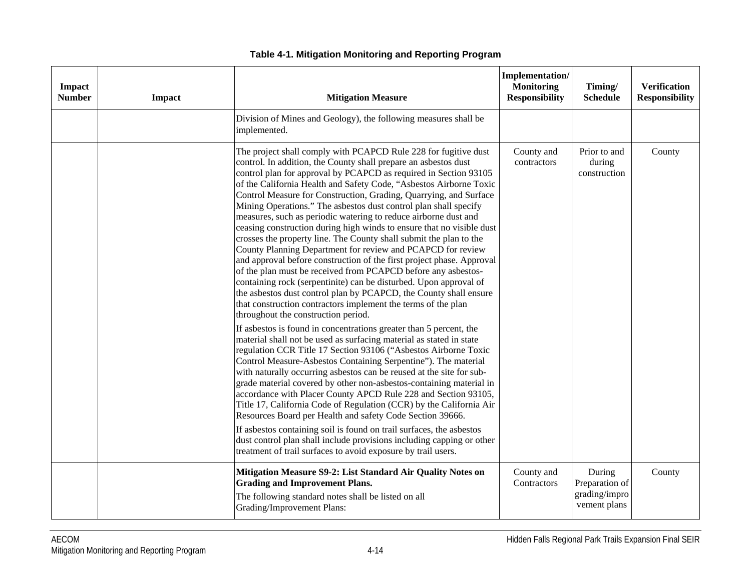| <b>Impact</b><br><b>Number</b> | <b>Impact</b> | <b>Mitigation Measure</b>                                                                                                                                                                                                                                                                                                                                                                                                                                                                                                                                                                                                                                                                                                                                                                                                                                                                                                                                                                                                                                                                                                                                                                                                                                                                                                                                                                                                                                                                                                                                                                                                                                                                                                                 | Implementation/<br><b>Monitoring</b><br><b>Responsibility</b> | Timing/<br><b>Schedule</b>                                | <b>Verification</b><br><b>Responsibility</b> |
|--------------------------------|---------------|-------------------------------------------------------------------------------------------------------------------------------------------------------------------------------------------------------------------------------------------------------------------------------------------------------------------------------------------------------------------------------------------------------------------------------------------------------------------------------------------------------------------------------------------------------------------------------------------------------------------------------------------------------------------------------------------------------------------------------------------------------------------------------------------------------------------------------------------------------------------------------------------------------------------------------------------------------------------------------------------------------------------------------------------------------------------------------------------------------------------------------------------------------------------------------------------------------------------------------------------------------------------------------------------------------------------------------------------------------------------------------------------------------------------------------------------------------------------------------------------------------------------------------------------------------------------------------------------------------------------------------------------------------------------------------------------------------------------------------------------|---------------------------------------------------------------|-----------------------------------------------------------|----------------------------------------------|
|                                |               | Division of Mines and Geology), the following measures shall be<br>implemented.                                                                                                                                                                                                                                                                                                                                                                                                                                                                                                                                                                                                                                                                                                                                                                                                                                                                                                                                                                                                                                                                                                                                                                                                                                                                                                                                                                                                                                                                                                                                                                                                                                                           |                                                               |                                                           |                                              |
|                                |               | The project shall comply with PCAPCD Rule 228 for fugitive dust<br>control. In addition, the County shall prepare an asbestos dust<br>control plan for approval by PCAPCD as required in Section 93105<br>of the California Health and Safety Code, "Asbestos Airborne Toxic<br>Control Measure for Construction, Grading, Quarrying, and Surface<br>Mining Operations." The asbestos dust control plan shall specify<br>measures, such as periodic watering to reduce airborne dust and<br>ceasing construction during high winds to ensure that no visible dust<br>crosses the property line. The County shall submit the plan to the<br>County Planning Department for review and PCAPCD for review<br>and approval before construction of the first project phase. Approval<br>of the plan must be received from PCAPCD before any asbestos-<br>containing rock (serpentinite) can be disturbed. Upon approval of<br>the asbestos dust control plan by PCAPCD, the County shall ensure<br>that construction contractors implement the terms of the plan<br>throughout the construction period.<br>If asbestos is found in concentrations greater than 5 percent, the<br>material shall not be used as surfacing material as stated in state<br>regulation CCR Title 17 Section 93106 ("Asbestos Airborne Toxic<br>Control Measure-Asbestos Containing Serpentine"). The material<br>with naturally occurring asbestos can be reused at the site for sub-<br>grade material covered by other non-asbestos-containing material in<br>accordance with Placer County APCD Rule 228 and Section 93105,<br>Title 17, California Code of Regulation (CCR) by the California Air<br>Resources Board per Health and safety Code Section 39666. | County and<br>contractors                                     | Prior to and<br>during<br>construction                    | County                                       |
|                                |               | If asbestos containing soil is found on trail surfaces, the asbestos<br>dust control plan shall include provisions including capping or other<br>treatment of trail surfaces to avoid exposure by trail users.                                                                                                                                                                                                                                                                                                                                                                                                                                                                                                                                                                                                                                                                                                                                                                                                                                                                                                                                                                                                                                                                                                                                                                                                                                                                                                                                                                                                                                                                                                                            |                                                               |                                                           |                                              |
|                                |               | Mitigation Measure S9-2: List Standard Air Quality Notes on<br><b>Grading and Improvement Plans.</b><br>The following standard notes shall be listed on all<br>Grading/Improvement Plans:                                                                                                                                                                                                                                                                                                                                                                                                                                                                                                                                                                                                                                                                                                                                                                                                                                                                                                                                                                                                                                                                                                                                                                                                                                                                                                                                                                                                                                                                                                                                                 | County and<br>Contractors                                     | During<br>Preparation of<br>grading/impro<br>vement plans | County                                       |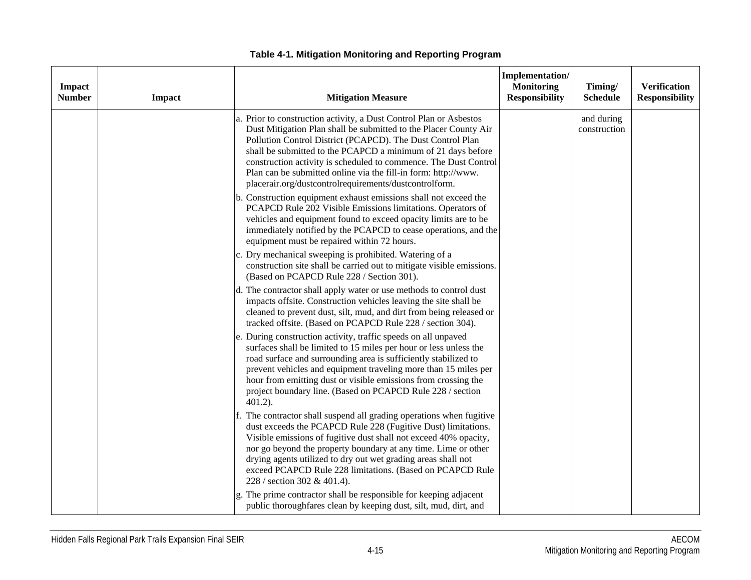| Impact<br><b>Number</b> | Impact | <b>Mitigation Measure</b>                                                                                                                                                                                                                                                                                                                                                                                                                                            | Implementation/<br><b>Monitoring</b><br><b>Responsibility</b> | Timing/<br><b>Schedule</b> | <b>Verification</b><br><b>Responsibility</b> |
|-------------------------|--------|----------------------------------------------------------------------------------------------------------------------------------------------------------------------------------------------------------------------------------------------------------------------------------------------------------------------------------------------------------------------------------------------------------------------------------------------------------------------|---------------------------------------------------------------|----------------------------|----------------------------------------------|
|                         |        | a. Prior to construction activity, a Dust Control Plan or Asbestos<br>Dust Mitigation Plan shall be submitted to the Placer County Air<br>Pollution Control District (PCAPCD). The Dust Control Plan<br>shall be submitted to the PCAPCD a minimum of 21 days before<br>construction activity is scheduled to commence. The Dust Control<br>Plan can be submitted online via the fill-in form: http://www.<br>placerair.org/dustcontrolrequirements/dustcontrolform. |                                                               | and during<br>construction |                                              |
|                         |        | b. Construction equipment exhaust emissions shall not exceed the<br>PCAPCD Rule 202 Visible Emissions limitations. Operators of<br>vehicles and equipment found to exceed opacity limits are to be<br>immediately notified by the PCAPCD to cease operations, and the<br>equipment must be repaired within 72 hours.                                                                                                                                                 |                                                               |                            |                                              |
|                         |        | c. Dry mechanical sweeping is prohibited. Watering of a<br>construction site shall be carried out to mitigate visible emissions.<br>(Based on PCAPCD Rule 228 / Section 301).                                                                                                                                                                                                                                                                                        |                                                               |                            |                                              |
|                         |        | d. The contractor shall apply water or use methods to control dust<br>impacts offsite. Construction vehicles leaving the site shall be<br>cleaned to prevent dust, silt, mud, and dirt from being released or<br>tracked offsite. (Based on PCAPCD Rule 228 / section 304).                                                                                                                                                                                          |                                                               |                            |                                              |
|                         |        | During construction activity, traffic speeds on all unpaved<br>surfaces shall be limited to 15 miles per hour or less unless the<br>road surface and surrounding area is sufficiently stabilized to<br>prevent vehicles and equipment traveling more than 15 miles per<br>hour from emitting dust or visible emissions from crossing the<br>project boundary line. (Based on PCAPCD Rule 228 / section<br>$401.2$ ).                                                 |                                                               |                            |                                              |
|                         |        | f. The contractor shall suspend all grading operations when fugitive<br>dust exceeds the PCAPCD Rule 228 (Fugitive Dust) limitations.<br>Visible emissions of fugitive dust shall not exceed 40% opacity,<br>nor go beyond the property boundary at any time. Lime or other<br>drying agents utilized to dry out wet grading areas shall not<br>exceed PCAPCD Rule 228 limitations. (Based on PCAPCD Rule<br>228 / section 302 & 401.4).                             |                                                               |                            |                                              |
|                         |        | g. The prime contractor shall be responsible for keeping adjacent<br>public thoroughfares clean by keeping dust, silt, mud, dirt, and                                                                                                                                                                                                                                                                                                                                |                                                               |                            |                                              |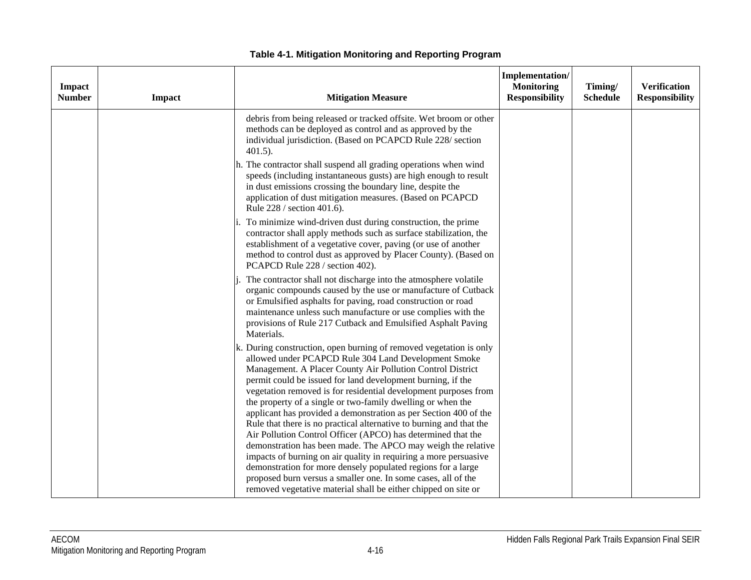| <b>Impact</b><br><b>Number</b> | Impact | <b>Mitigation Measure</b>                                                                                                                                                                                                                                                                                                                                                                                                                                                                                                                                                                                                                                                                                                                                                                                                                                                                                                                   | Implementation/<br><b>Monitoring</b><br><b>Responsibility</b> | Timing/<br><b>Schedule</b> | <b>Verification</b><br><b>Responsibility</b> |
|--------------------------------|--------|---------------------------------------------------------------------------------------------------------------------------------------------------------------------------------------------------------------------------------------------------------------------------------------------------------------------------------------------------------------------------------------------------------------------------------------------------------------------------------------------------------------------------------------------------------------------------------------------------------------------------------------------------------------------------------------------------------------------------------------------------------------------------------------------------------------------------------------------------------------------------------------------------------------------------------------------|---------------------------------------------------------------|----------------------------|----------------------------------------------|
|                                |        | debris from being released or tracked offsite. Wet broom or other<br>methods can be deployed as control and as approved by the<br>individual jurisdiction. (Based on PCAPCD Rule 228/ section<br>$401.5$ ).                                                                                                                                                                                                                                                                                                                                                                                                                                                                                                                                                                                                                                                                                                                                 |                                                               |                            |                                              |
|                                |        | h. The contractor shall suspend all grading operations when wind<br>speeds (including instantaneous gusts) are high enough to result<br>in dust emissions crossing the boundary line, despite the<br>application of dust mitigation measures. (Based on PCAPCD<br>Rule 228 / section 401.6).                                                                                                                                                                                                                                                                                                                                                                                                                                                                                                                                                                                                                                                |                                                               |                            |                                              |
|                                |        | To minimize wind-driven dust during construction, the prime<br>contractor shall apply methods such as surface stabilization, the<br>establishment of a vegetative cover, paving (or use of another<br>method to control dust as approved by Placer County). (Based on<br>PCAPCD Rule 228 / section 402).                                                                                                                                                                                                                                                                                                                                                                                                                                                                                                                                                                                                                                    |                                                               |                            |                                              |
|                                |        | The contractor shall not discharge into the atmosphere volatile<br>organic compounds caused by the use or manufacture of Cutback<br>or Emulsified asphalts for paving, road construction or road<br>maintenance unless such manufacture or use complies with the<br>provisions of Rule 217 Cutback and Emulsified Asphalt Paving<br>Materials.                                                                                                                                                                                                                                                                                                                                                                                                                                                                                                                                                                                              |                                                               |                            |                                              |
|                                |        | k. During construction, open burning of removed vegetation is only<br>allowed under PCAPCD Rule 304 Land Development Smoke<br>Management. A Placer County Air Pollution Control District<br>permit could be issued for land development burning, if the<br>vegetation removed is for residential development purposes from<br>the property of a single or two-family dwelling or when the<br>applicant has provided a demonstration as per Section 400 of the<br>Rule that there is no practical alternative to burning and that the<br>Air Pollution Control Officer (APCO) has determined that the<br>demonstration has been made. The APCO may weigh the relative<br>impacts of burning on air quality in requiring a more persuasive<br>demonstration for more densely populated regions for a large<br>proposed burn versus a smaller one. In some cases, all of the<br>removed vegetative material shall be either chipped on site or |                                                               |                            |                                              |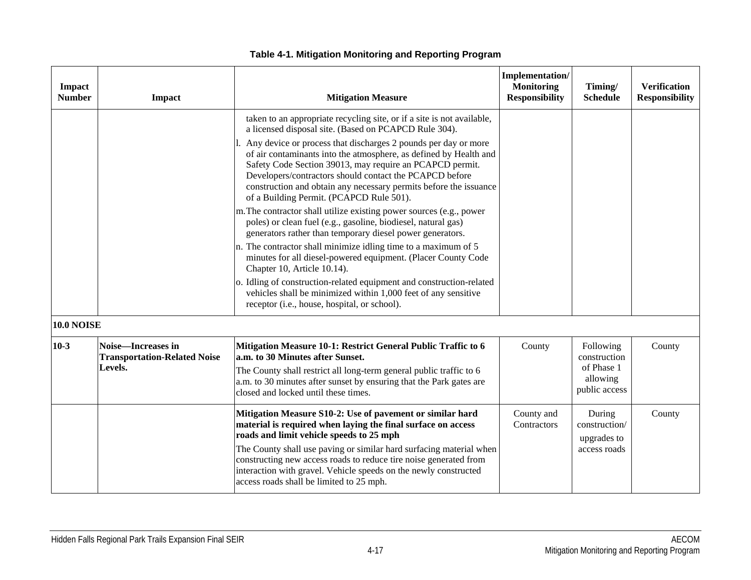| Impact<br><b>Number</b> | Impact                                                               | <b>Mitigation Measure</b>                                                                                                                                                                                                                                                                                                                                                                                                         | <b>Implementation/</b><br><b>Monitoring</b><br><b>Responsibility</b> | Timing/<br><b>Schedule</b>                                           | <b>Verification</b><br><b>Responsibility</b> |
|-------------------------|----------------------------------------------------------------------|-----------------------------------------------------------------------------------------------------------------------------------------------------------------------------------------------------------------------------------------------------------------------------------------------------------------------------------------------------------------------------------------------------------------------------------|----------------------------------------------------------------------|----------------------------------------------------------------------|----------------------------------------------|
|                         |                                                                      | taken to an appropriate recycling site, or if a site is not available,<br>a licensed disposal site. (Based on PCAPCD Rule 304).                                                                                                                                                                                                                                                                                                   |                                                                      |                                                                      |                                              |
|                         |                                                                      | Any device or process that discharges 2 pounds per day or more<br>of air contaminants into the atmosphere, as defined by Health and<br>Safety Code Section 39013, may require an PCAPCD permit.<br>Developers/contractors should contact the PCAPCD before<br>construction and obtain any necessary permits before the issuance<br>of a Building Permit. (PCAPCD Rule 501).                                                       |                                                                      |                                                                      |                                              |
|                         |                                                                      | m. The contractor shall utilize existing power sources (e.g., power<br>poles) or clean fuel (e.g., gasoline, biodiesel, natural gas)<br>generators rather than temporary diesel power generators.                                                                                                                                                                                                                                 |                                                                      |                                                                      |                                              |
|                         |                                                                      | n. The contractor shall minimize idling time to a maximum of 5<br>minutes for all diesel-powered equipment. (Placer County Code<br>Chapter 10, Article 10.14).                                                                                                                                                                                                                                                                    |                                                                      |                                                                      |                                              |
|                         |                                                                      | o. Idling of construction-related equipment and construction-related<br>vehicles shall be minimized within 1,000 feet of any sensitive<br>receptor (i.e., house, hospital, or school).                                                                                                                                                                                                                                            |                                                                      |                                                                      |                                              |
| <b>10.0 NOISE</b>       |                                                                      |                                                                                                                                                                                                                                                                                                                                                                                                                                   |                                                                      |                                                                      |                                              |
| $10-3$                  | Noise-Increases in<br><b>Transportation-Related Noise</b><br>Levels. | Mitigation Measure 10-1: Restrict General Public Traffic to 6<br>a.m. to 30 Minutes after Sunset.<br>The County shall restrict all long-term general public traffic to 6<br>a.m. to 30 minutes after sunset by ensuring that the Park gates are<br>closed and locked until these times.                                                                                                                                           | County                                                               | Following<br>construction<br>of Phase 1<br>allowing<br>public access | County                                       |
|                         |                                                                      | Mitigation Measure S10-2: Use of pavement or similar hard<br>material is required when laying the final surface on access<br>roads and limit vehicle speeds to 25 mph<br>The County shall use paving or similar hard surfacing material when<br>constructing new access roads to reduce tire noise generated from<br>interaction with gravel. Vehicle speeds on the newly constructed<br>access roads shall be limited to 25 mph. | County and<br>Contractors                                            | During<br>construction/<br>upgrades to<br>access roads               | County                                       |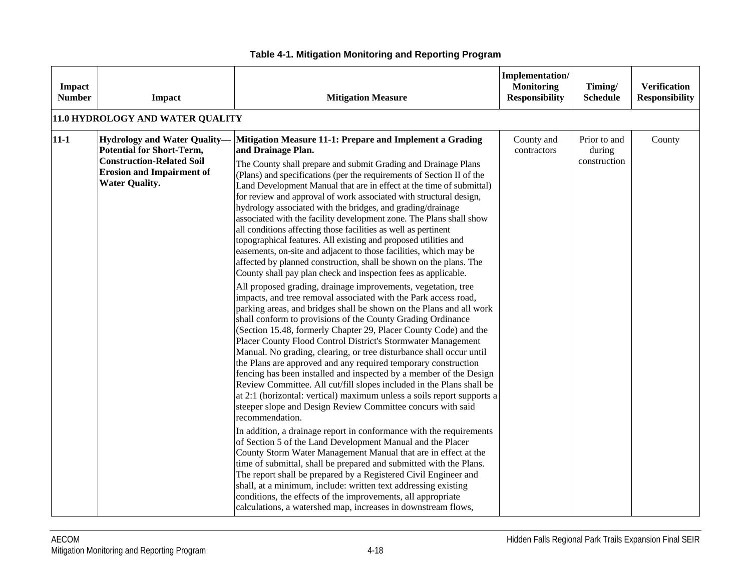| Impact<br><b>Number</b> | Impact                                                                                                                                                                   | <b>Mitigation Measure</b>                                                                                                                                                                                                                                                                                                                                                                                                                                                                                                                                                                                                                                                                                                                                                                                                                                                                                                                                                                                                                                                                                                                                                                                                                                                                                                                                                                                                                                                                                                                                                                                                                                                                                                                                                                                                                                                                                                                                                                                                                                                                                                                                                                                                                                                           | Implementation/<br><b>Monitoring</b><br><b>Responsibility</b> | Timing/<br><b>Schedule</b>             | <b>Verification</b><br><b>Responsibility</b> |
|-------------------------|--------------------------------------------------------------------------------------------------------------------------------------------------------------------------|-------------------------------------------------------------------------------------------------------------------------------------------------------------------------------------------------------------------------------------------------------------------------------------------------------------------------------------------------------------------------------------------------------------------------------------------------------------------------------------------------------------------------------------------------------------------------------------------------------------------------------------------------------------------------------------------------------------------------------------------------------------------------------------------------------------------------------------------------------------------------------------------------------------------------------------------------------------------------------------------------------------------------------------------------------------------------------------------------------------------------------------------------------------------------------------------------------------------------------------------------------------------------------------------------------------------------------------------------------------------------------------------------------------------------------------------------------------------------------------------------------------------------------------------------------------------------------------------------------------------------------------------------------------------------------------------------------------------------------------------------------------------------------------------------------------------------------------------------------------------------------------------------------------------------------------------------------------------------------------------------------------------------------------------------------------------------------------------------------------------------------------------------------------------------------------------------------------------------------------------------------------------------------------|---------------------------------------------------------------|----------------------------------------|----------------------------------------------|
|                         | 11.0 HYDROLOGY AND WATER QUALITY                                                                                                                                         |                                                                                                                                                                                                                                                                                                                                                                                                                                                                                                                                                                                                                                                                                                                                                                                                                                                                                                                                                                                                                                                                                                                                                                                                                                                                                                                                                                                                                                                                                                                                                                                                                                                                                                                                                                                                                                                                                                                                                                                                                                                                                                                                                                                                                                                                                     |                                                               |                                        |                                              |
| $11 - 1$                | <b>Hydrology and Water Quality-</b><br><b>Potential for Short-Term,</b><br><b>Construction-Related Soil</b><br><b>Erosion and Impairment of</b><br><b>Water Quality.</b> | Mitigation Measure 11-1: Prepare and Implement a Grading<br>and Drainage Plan.<br>The County shall prepare and submit Grading and Drainage Plans<br>(Plans) and specifications (per the requirements of Section II of the<br>Land Development Manual that are in effect at the time of submittal)<br>for review and approval of work associated with structural design,<br>hydrology associated with the bridges, and grading/drainage<br>associated with the facility development zone. The Plans shall show<br>all conditions affecting those facilities as well as pertinent<br>topographical features. All existing and proposed utilities and<br>easements, on-site and adjacent to those facilities, which may be<br>affected by planned construction, shall be shown on the plans. The<br>County shall pay plan check and inspection fees as applicable.<br>All proposed grading, drainage improvements, vegetation, tree<br>impacts, and tree removal associated with the Park access road,<br>parking areas, and bridges shall be shown on the Plans and all work<br>shall conform to provisions of the County Grading Ordinance<br>(Section 15.48, formerly Chapter 29, Placer County Code) and the<br>Placer County Flood Control District's Stormwater Management<br>Manual. No grading, clearing, or tree disturbance shall occur until<br>the Plans are approved and any required temporary construction<br>fencing has been installed and inspected by a member of the Design<br>Review Committee. All cut/fill slopes included in the Plans shall be<br>at 2:1 (horizontal: vertical) maximum unless a soils report supports a<br>steeper slope and Design Review Committee concurs with said<br>recommendation.<br>In addition, a drainage report in conformance with the requirements<br>of Section 5 of the Land Development Manual and the Placer<br>County Storm Water Management Manual that are in effect at the<br>time of submittal, shall be prepared and submitted with the Plans.<br>The report shall be prepared by a Registered Civil Engineer and<br>shall, at a minimum, include: written text addressing existing<br>conditions, the effects of the improvements, all appropriate<br>calculations, a watershed map, increases in downstream flows, | County and<br>contractors                                     | Prior to and<br>during<br>construction | County                                       |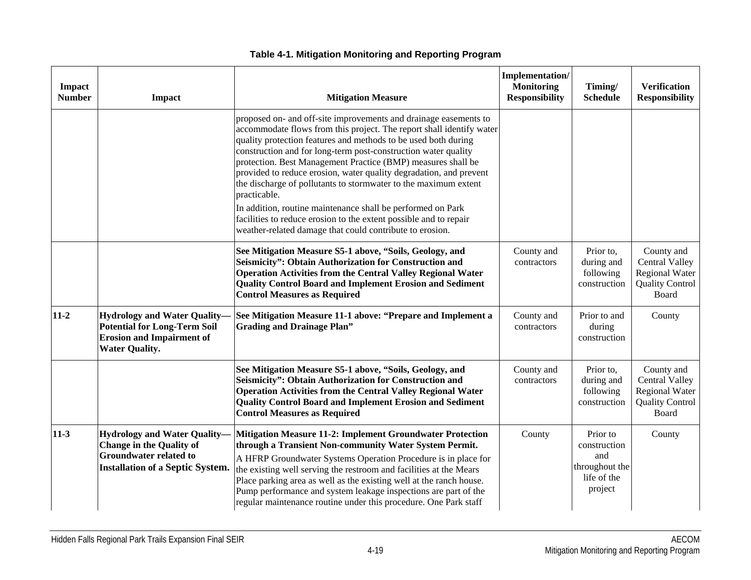| Impact<br><b>Number</b> | <b>Impact</b>                                                                                                                                      | <b>Mitigation Measure</b>                                                                                                                                                                                                                                                                                                                                                                                                                                                                                                                                                                                                                                                                             | <b>Implementation/</b><br><b>Monitoring</b><br><b>Responsibility</b> | Timing/<br><b>Schedule</b>                                                  | <b>Verification</b><br><b>Responsibility</b>                                             |
|-------------------------|----------------------------------------------------------------------------------------------------------------------------------------------------|-------------------------------------------------------------------------------------------------------------------------------------------------------------------------------------------------------------------------------------------------------------------------------------------------------------------------------------------------------------------------------------------------------------------------------------------------------------------------------------------------------------------------------------------------------------------------------------------------------------------------------------------------------------------------------------------------------|----------------------------------------------------------------------|-----------------------------------------------------------------------------|------------------------------------------------------------------------------------------|
|                         |                                                                                                                                                    | proposed on- and off-site improvements and drainage easements to<br>accommodate flows from this project. The report shall identify water<br>quality protection features and methods to be used both during<br>construction and for long-term post-construction water quality<br>protection. Best Management Practice (BMP) measures shall be<br>provided to reduce erosion, water quality degradation, and prevent<br>the discharge of pollutants to stormwater to the maximum extent<br>practicable.<br>In addition, routine maintenance shall be performed on Park<br>facilities to reduce erosion to the extent possible and to repair<br>weather-related damage that could contribute to erosion. |                                                                      |                                                                             |                                                                                          |
|                         |                                                                                                                                                    | See Mitigation Measure S5-1 above, "Soils, Geology, and<br>Seismicity": Obtain Authorization for Construction and<br><b>Operation Activities from the Central Valley Regional Water</b><br><b>Quality Control Board and Implement Erosion and Sediment</b><br><b>Control Measures as Required</b>                                                                                                                                                                                                                                                                                                                                                                                                     | County and<br>contractors                                            | Prior to,<br>during and<br>following<br>construction                        | County and<br>Central Valley<br><b>Regional Water</b><br><b>Quality Control</b><br>Board |
| $11-2$                  | <b>Hydrology and Water Quality-</b><br><b>Potential for Long-Term Soil</b><br><b>Erosion and Impairment of</b><br><b>Water Quality.</b>            | See Mitigation Measure 11-1 above: "Prepare and Implement a<br><b>Grading and Drainage Plan"</b>                                                                                                                                                                                                                                                                                                                                                                                                                                                                                                                                                                                                      | County and<br>contractors                                            | Prior to and<br>during<br>construction                                      | County                                                                                   |
|                         |                                                                                                                                                    | See Mitigation Measure S5-1 above, "Soils, Geology, and<br>Seismicity": Obtain Authorization for Construction and<br><b>Operation Activities from the Central Valley Regional Water</b><br><b>Quality Control Board and Implement Erosion and Sediment</b><br><b>Control Measures as Required</b>                                                                                                                                                                                                                                                                                                                                                                                                     | County and<br>contractors                                            | Prior to,<br>during and<br>following<br>construction                        | County and<br>Central Valley<br><b>Regional Water</b><br><b>Quality Control</b><br>Board |
| $11-3$                  | <b>Hydrology and Water Quality-</b><br><b>Change in the Quality of</b><br><b>Groundwater related to</b><br><b>Installation of a Septic System.</b> | <b>Mitigation Measure 11-2: Implement Groundwater Protection</b><br>through a Transient Non-community Water System Permit.<br>A HFRP Groundwater Systems Operation Procedure is in place for<br>the existing well serving the restroom and facilities at the Mears<br>Place parking area as well as the existing well at the ranch house.<br>Pump performance and system leakage inspections are part of the<br>regular maintenance routine under this procedure. One Park staff                                                                                                                                                                                                                      | County                                                               | Prior to<br>construction<br>and<br>throughout the<br>life of the<br>project | County                                                                                   |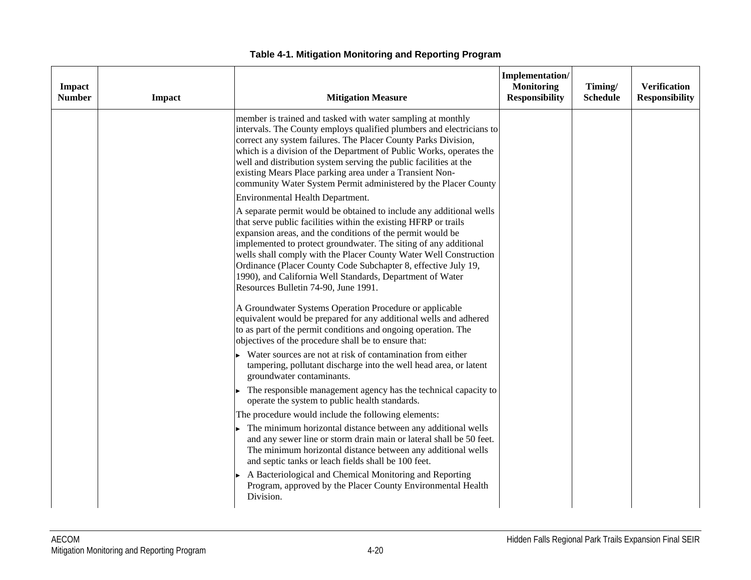| Impact<br><b>Number</b> | Impact | <b>Mitigation Measure</b>                                                                                                                                                                                                                                                                                                                                                                                                                                                                                                                                | Implementation/<br><b>Monitoring</b><br><b>Responsibility</b> | Timing/<br><b>Schedule</b> | <b>Verification</b><br><b>Responsibility</b> |
|-------------------------|--------|----------------------------------------------------------------------------------------------------------------------------------------------------------------------------------------------------------------------------------------------------------------------------------------------------------------------------------------------------------------------------------------------------------------------------------------------------------------------------------------------------------------------------------------------------------|---------------------------------------------------------------|----------------------------|----------------------------------------------|
|                         |        | member is trained and tasked with water sampling at monthly<br>intervals. The County employs qualified plumbers and electricians to<br>correct any system failures. The Placer County Parks Division,<br>which is a division of the Department of Public Works, operates the<br>well and distribution system serving the public facilities at the<br>existing Mears Place parking area under a Transient Non-<br>community Water System Permit administered by the Placer County                                                                         |                                                               |                            |                                              |
|                         |        | Environmental Health Department.<br>A separate permit would be obtained to include any additional wells<br>that serve public facilities within the existing HFRP or trails<br>expansion areas, and the conditions of the permit would be<br>implemented to protect groundwater. The siting of any additional<br>wells shall comply with the Placer County Water Well Construction<br>Ordinance (Placer County Code Subchapter 8, effective July 19,<br>1990), and California Well Standards, Department of Water<br>Resources Bulletin 74-90, June 1991. |                                                               |                            |                                              |
|                         |        | A Groundwater Systems Operation Procedure or applicable<br>equivalent would be prepared for any additional wells and adhered<br>to as part of the permit conditions and ongoing operation. The<br>objectives of the procedure shall be to ensure that:                                                                                                                                                                                                                                                                                                   |                                                               |                            |                                              |
|                         |        | Water sources are not at risk of contamination from either<br>tampering, pollutant discharge into the well head area, or latent<br>groundwater contaminants.                                                                                                                                                                                                                                                                                                                                                                                             |                                                               |                            |                                              |
|                         |        | The responsible management agency has the technical capacity to<br>operate the system to public health standards.                                                                                                                                                                                                                                                                                                                                                                                                                                        |                                                               |                            |                                              |
|                         |        | The procedure would include the following elements:                                                                                                                                                                                                                                                                                                                                                                                                                                                                                                      |                                                               |                            |                                              |
|                         |        | The minimum horizontal distance between any additional wells<br>and any sewer line or storm drain main or lateral shall be 50 feet.<br>The minimum horizontal distance between any additional wells<br>and septic tanks or leach fields shall be 100 feet.                                                                                                                                                                                                                                                                                               |                                                               |                            |                                              |
|                         |        | A Bacteriological and Chemical Monitoring and Reporting<br>Program, approved by the Placer County Environmental Health<br>Division.                                                                                                                                                                                                                                                                                                                                                                                                                      |                                                               |                            |                                              |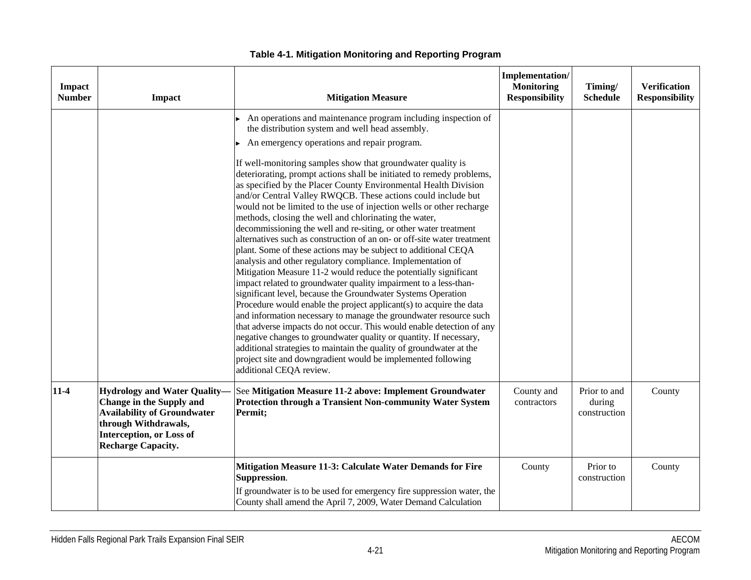| Impact<br><b>Number</b> | Impact                                                                                                                                                                                        | <b>Mitigation Measure</b>                                                                                                                                                                                                                                                                                                                                                                                                                                                                                                                                                                                                                                                                                                                                                                                                                                                                                                                                                                                                                                                                                                                                                                                                                                                                                                                                                                                                                                                                                                       | Implementation/<br><b>Monitoring</b><br><b>Responsibility</b> | Timing/<br><b>Schedule</b>             | <b>Verification</b><br><b>Responsibility</b> |
|-------------------------|-----------------------------------------------------------------------------------------------------------------------------------------------------------------------------------------------|---------------------------------------------------------------------------------------------------------------------------------------------------------------------------------------------------------------------------------------------------------------------------------------------------------------------------------------------------------------------------------------------------------------------------------------------------------------------------------------------------------------------------------------------------------------------------------------------------------------------------------------------------------------------------------------------------------------------------------------------------------------------------------------------------------------------------------------------------------------------------------------------------------------------------------------------------------------------------------------------------------------------------------------------------------------------------------------------------------------------------------------------------------------------------------------------------------------------------------------------------------------------------------------------------------------------------------------------------------------------------------------------------------------------------------------------------------------------------------------------------------------------------------|---------------------------------------------------------------|----------------------------------------|----------------------------------------------|
|                         |                                                                                                                                                                                               | An operations and maintenance program including inspection of<br>the distribution system and well head assembly.<br>An emergency operations and repair program.<br>If well-monitoring samples show that groundwater quality is<br>deteriorating, prompt actions shall be initiated to remedy problems,<br>as specified by the Placer County Environmental Health Division<br>and/or Central Valley RWQCB. These actions could include but<br>would not be limited to the use of injection wells or other recharge<br>methods, closing the well and chlorinating the water,<br>decommissioning the well and re-siting, or other water treatment<br>alternatives such as construction of an on- or off-site water treatment<br>plant. Some of these actions may be subject to additional CEQA<br>analysis and other regulatory compliance. Implementation of<br>Mitigation Measure 11-2 would reduce the potentially significant<br>impact related to groundwater quality impairment to a less-than-<br>significant level, because the Groundwater Systems Operation<br>Procedure would enable the project applicant(s) to acquire the data<br>and information necessary to manage the groundwater resource such<br>that adverse impacts do not occur. This would enable detection of any<br>negative changes to groundwater quality or quantity. If necessary,<br>additional strategies to maintain the quality of groundwater at the<br>project site and downgradient would be implemented following<br>additional CEQA review. |                                                               |                                        |                                              |
| $11-4$                  | <b>Hydrology and Water Quality-</b><br>Change in the Supply and<br><b>Availability of Groundwater</b><br>through Withdrawals,<br><b>Interception, or Loss of</b><br><b>Recharge Capacity.</b> | See Mitigation Measure 11-2 above: Implement Groundwater<br>Protection through a Transient Non-community Water System<br>Permit;                                                                                                                                                                                                                                                                                                                                                                                                                                                                                                                                                                                                                                                                                                                                                                                                                                                                                                                                                                                                                                                                                                                                                                                                                                                                                                                                                                                                | County and<br>contractors                                     | Prior to and<br>during<br>construction | County                                       |
|                         |                                                                                                                                                                                               | Mitigation Measure 11-3: Calculate Water Demands for Fire<br>Suppression.<br>If groundwater is to be used for emergency fire suppression water, the<br>County shall amend the April 7, 2009, Water Demand Calculation                                                                                                                                                                                                                                                                                                                                                                                                                                                                                                                                                                                                                                                                                                                                                                                                                                                                                                                                                                                                                                                                                                                                                                                                                                                                                                           | County                                                        | Prior to<br>construction               | County                                       |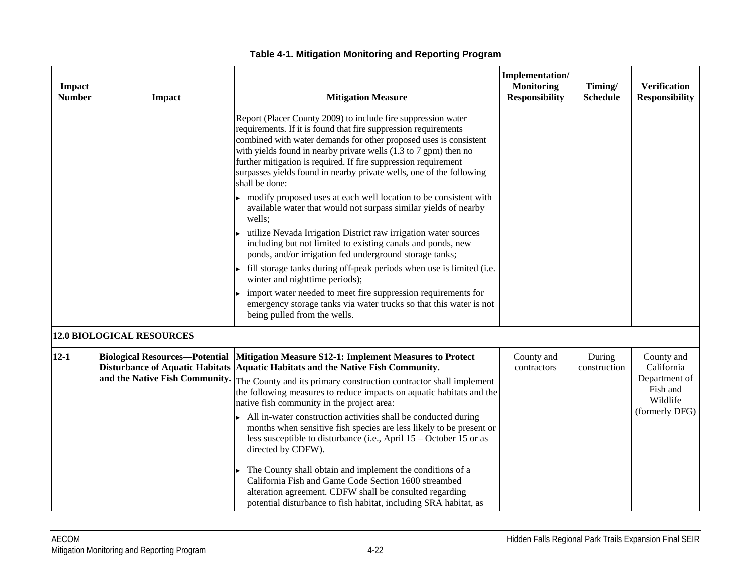| <b>Impact</b><br><b>Number</b> | Impact                                                                  | <b>Mitigation Measure</b>                                                                                                                                                                                                                                                                                                                                                                                                                                                                                                                                                                                                                                                                                                                                                                                                                                                                                                                                                                                                                                                                | Implementation/<br><b>Monitoring</b><br><b>Responsibility</b> | Timing/<br><b>Schedule</b> | <b>Verification</b><br><b>Responsibility</b>                                        |
|--------------------------------|-------------------------------------------------------------------------|------------------------------------------------------------------------------------------------------------------------------------------------------------------------------------------------------------------------------------------------------------------------------------------------------------------------------------------------------------------------------------------------------------------------------------------------------------------------------------------------------------------------------------------------------------------------------------------------------------------------------------------------------------------------------------------------------------------------------------------------------------------------------------------------------------------------------------------------------------------------------------------------------------------------------------------------------------------------------------------------------------------------------------------------------------------------------------------|---------------------------------------------------------------|----------------------------|-------------------------------------------------------------------------------------|
|                                |                                                                         | Report (Placer County 2009) to include fire suppression water<br>requirements. If it is found that fire suppression requirements<br>combined with water demands for other proposed uses is consistent<br>with yields found in nearby private wells $(1.3 \text{ to } 7 \text{ gpm})$ then no<br>further mitigation is required. If fire suppression requirement<br>surpasses yields found in nearby private wells, one of the following<br>shall be done:<br>modify proposed uses at each well location to be consistent with<br>available water that would not surpass similar yields of nearby<br>wells;<br>utilize Nevada Irrigation District raw irrigation water sources<br>including but not limited to existing canals and ponds, new<br>ponds, and/or irrigation fed underground storage tanks;<br>fill storage tanks during off-peak periods when use is limited (i.e.<br>winter and nighttime periods);<br>import water needed to meet fire suppression requirements for<br>emergency storage tanks via water trucks so that this water is not<br>being pulled from the wells. |                                                               |                            |                                                                                     |
|                                | <b>12.0 BIOLOGICAL RESOURCES</b>                                        |                                                                                                                                                                                                                                                                                                                                                                                                                                                                                                                                                                                                                                                                                                                                                                                                                                                                                                                                                                                                                                                                                          |                                                               |                            |                                                                                     |
| $12 - 1$                       | <b>Biological Resources-Potential</b><br>and the Native Fish Community. | Mitigation Measure S12-1: Implement Measures to Protect<br>Disturbance of Aquatic Habitats Aquatic Habitats and the Native Fish Community.<br>The County and its primary construction contractor shall implement<br>the following measures to reduce impacts on aquatic habitats and the<br>native fish community in the project area:<br>All in-water construction activities shall be conducted during<br>months when sensitive fish species are less likely to be present or<br>less susceptible to disturbance (i.e., April $15 -$ October 15 or as<br>directed by CDFW).<br>The County shall obtain and implement the conditions of a<br>California Fish and Game Code Section 1600 streambed<br>alteration agreement. CDFW shall be consulted regarding<br>potential disturbance to fish habitat, including SRA habitat, as                                                                                                                                                                                                                                                        | County and<br>contractors                                     | During<br>construction     | County and<br>California<br>Department of<br>Fish and<br>Wildlife<br>(formerly DFG) |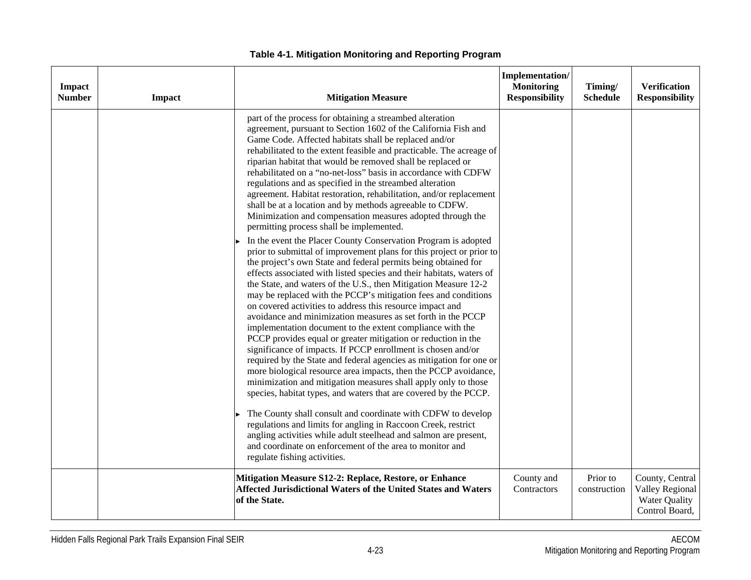| Impact<br><b>Number</b> | <b>Impact</b> | <b>Mitigation Measure</b>                                                                                                                                                                                                                                                                                                                                                                                                                                                                                                                                                                                                                                                                                                                                                                                                                                                                                                                                                                                                                                                                                                                                                                                                                                                                                                                                                                                                                                                                                                                                                                                                                                                                                                                                                                                                                                                                                                                                                                                                                 | Implementation/<br><b>Monitoring</b><br><b>Responsibility</b> | Timing/<br><b>Schedule</b> | <b>Verification</b><br><b>Responsibility</b>                          |
|-------------------------|---------------|-------------------------------------------------------------------------------------------------------------------------------------------------------------------------------------------------------------------------------------------------------------------------------------------------------------------------------------------------------------------------------------------------------------------------------------------------------------------------------------------------------------------------------------------------------------------------------------------------------------------------------------------------------------------------------------------------------------------------------------------------------------------------------------------------------------------------------------------------------------------------------------------------------------------------------------------------------------------------------------------------------------------------------------------------------------------------------------------------------------------------------------------------------------------------------------------------------------------------------------------------------------------------------------------------------------------------------------------------------------------------------------------------------------------------------------------------------------------------------------------------------------------------------------------------------------------------------------------------------------------------------------------------------------------------------------------------------------------------------------------------------------------------------------------------------------------------------------------------------------------------------------------------------------------------------------------------------------------------------------------------------------------------------------------|---------------------------------------------------------------|----------------------------|-----------------------------------------------------------------------|
|                         |               | part of the process for obtaining a streambed alteration<br>agreement, pursuant to Section 1602 of the California Fish and<br>Game Code. Affected habitats shall be replaced and/or<br>rehabilitated to the extent feasible and practicable. The acreage of<br>riparian habitat that would be removed shall be replaced or<br>rehabilitated on a "no-net-loss" basis in accordance with CDFW<br>regulations and as specified in the streambed alteration<br>agreement. Habitat restoration, rehabilitation, and/or replacement<br>shall be at a location and by methods agreeable to CDFW.<br>Minimization and compensation measures adopted through the<br>permitting process shall be implemented.<br>In the event the Placer County Conservation Program is adopted<br>prior to submittal of improvement plans for this project or prior to<br>the project's own State and federal permits being obtained for<br>effects associated with listed species and their habitats, waters of<br>the State, and waters of the U.S., then Mitigation Measure 12-2<br>may be replaced with the PCCP's mitigation fees and conditions<br>on covered activities to address this resource impact and<br>avoidance and minimization measures as set forth in the PCCP<br>implementation document to the extent compliance with the<br>PCCP provides equal or greater mitigation or reduction in the<br>significance of impacts. If PCCP enrollment is chosen and/or<br>required by the State and federal agencies as mitigation for one or<br>more biological resource area impacts, then the PCCP avoidance,<br>minimization and mitigation measures shall apply only to those<br>species, habitat types, and waters that are covered by the PCCP.<br>The County shall consult and coordinate with CDFW to develop<br>regulations and limits for angling in Raccoon Creek, restrict<br>angling activities while adult steelhead and salmon are present,<br>and coordinate on enforcement of the area to monitor and<br>regulate fishing activities. |                                                               |                            |                                                                       |
|                         |               | Mitigation Measure S12-2: Replace, Restore, or Enhance<br>Affected Jurisdictional Waters of the United States and Waters<br>of the State.                                                                                                                                                                                                                                                                                                                                                                                                                                                                                                                                                                                                                                                                                                                                                                                                                                                                                                                                                                                                                                                                                                                                                                                                                                                                                                                                                                                                                                                                                                                                                                                                                                                                                                                                                                                                                                                                                                 | County and<br>Contractors                                     | Prior to<br>construction   | County, Central<br>Valley Regional<br>Water Quality<br>Control Board, |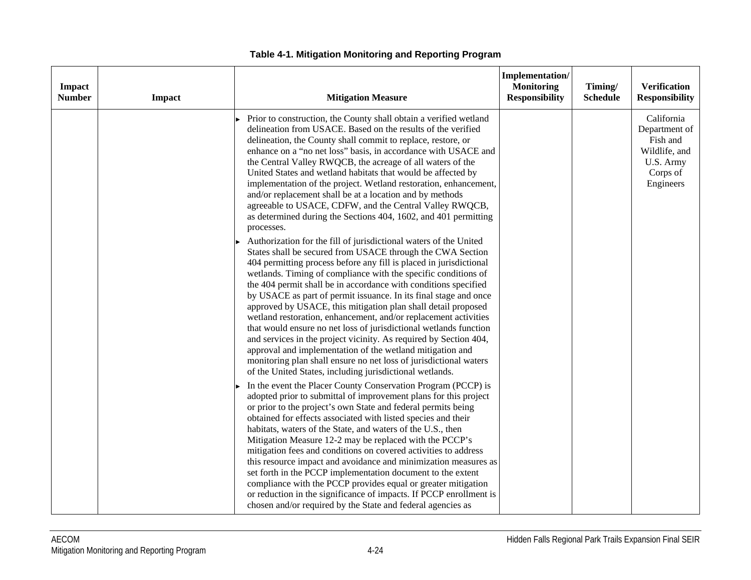| Impact<br><b>Number</b> | <b>Impact</b> | <b>Mitigation Measure</b>                                                                                                                                                                                                                                                                                                                                                                                                                                                                                                                                                                                                                                                                                                                                                                                                                                                                  | Implementation/<br><b>Monitoring</b><br><b>Responsibility</b> | Timing/<br><b>Schedule</b> | <b>Verification</b><br><b>Responsibility</b>                                                   |
|-------------------------|---------------|--------------------------------------------------------------------------------------------------------------------------------------------------------------------------------------------------------------------------------------------------------------------------------------------------------------------------------------------------------------------------------------------------------------------------------------------------------------------------------------------------------------------------------------------------------------------------------------------------------------------------------------------------------------------------------------------------------------------------------------------------------------------------------------------------------------------------------------------------------------------------------------------|---------------------------------------------------------------|----------------------------|------------------------------------------------------------------------------------------------|
|                         |               | Prior to construction, the County shall obtain a verified wetland<br>delineation from USACE. Based on the results of the verified<br>delineation, the County shall commit to replace, restore, or<br>enhance on a "no net loss" basis, in accordance with USACE and<br>the Central Valley RWQCB, the acreage of all waters of the<br>United States and wetland habitats that would be affected by<br>implementation of the project. Wetland restoration, enhancement,<br>and/or replacement shall be at a location and by methods<br>agreeable to USACE, CDFW, and the Central Valley RWQCB,<br>as determined during the Sections 404, 1602, and 401 permitting<br>processes.                                                                                                                                                                                                              |                                                               |                            | California<br>Department of<br>Fish and<br>Wildlife, and<br>U.S. Army<br>Corps of<br>Engineers |
|                         |               | Authorization for the fill of jurisdictional waters of the United<br>States shall be secured from USACE through the CWA Section<br>404 permitting process before any fill is placed in jurisdictional<br>wetlands. Timing of compliance with the specific conditions of<br>the 404 permit shall be in accordance with conditions specified<br>by USACE as part of permit issuance. In its final stage and once<br>approved by USACE, this mitigation plan shall detail proposed<br>wetland restoration, enhancement, and/or replacement activities<br>that would ensure no net loss of jurisdictional wetlands function<br>and services in the project vicinity. As required by Section 404,<br>approval and implementation of the wetland mitigation and<br>monitoring plan shall ensure no net loss of jurisdictional waters<br>of the United States, including jurisdictional wetlands. |                                                               |                            |                                                                                                |
|                         |               | In the event the Placer County Conservation Program (PCCP) is<br>adopted prior to submittal of improvement plans for this project<br>or prior to the project's own State and federal permits being<br>obtained for effects associated with listed species and their<br>habitats, waters of the State, and waters of the U.S., then<br>Mitigation Measure 12-2 may be replaced with the PCCP's<br>mitigation fees and conditions on covered activities to address<br>this resource impact and avoidance and minimization measures as<br>set forth in the PCCP implementation document to the extent<br>compliance with the PCCP provides equal or greater mitigation<br>or reduction in the significance of impacts. If PCCP enrollment is<br>chosen and/or required by the State and federal agencies as                                                                                   |                                                               |                            |                                                                                                |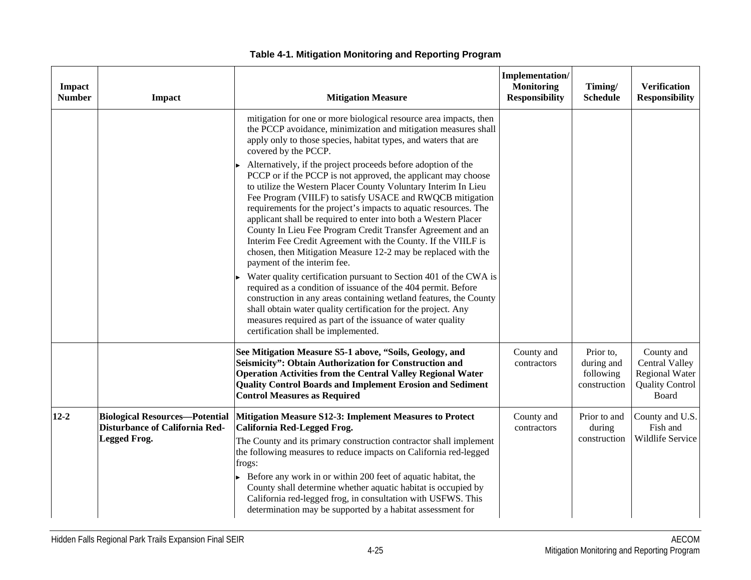| <b>Impact</b><br><b>Number</b> | Impact                                                                                         | <b>Mitigation Measure</b>                                                                                                                                                                                                                                                                                                                                                                                                                                                                                                                                                                                                                                                                                                                                                                                                                                                                                                                                                                                                                                                                                                                                                                                                                               | Implementation/<br><b>Monitoring</b><br><b>Responsibility</b> | Timing/<br><b>Schedule</b>                           | <b>Verification</b><br><b>Responsibility</b>                                                    |
|--------------------------------|------------------------------------------------------------------------------------------------|---------------------------------------------------------------------------------------------------------------------------------------------------------------------------------------------------------------------------------------------------------------------------------------------------------------------------------------------------------------------------------------------------------------------------------------------------------------------------------------------------------------------------------------------------------------------------------------------------------------------------------------------------------------------------------------------------------------------------------------------------------------------------------------------------------------------------------------------------------------------------------------------------------------------------------------------------------------------------------------------------------------------------------------------------------------------------------------------------------------------------------------------------------------------------------------------------------------------------------------------------------|---------------------------------------------------------------|------------------------------------------------------|-------------------------------------------------------------------------------------------------|
|                                |                                                                                                | mitigation for one or more biological resource area impacts, then<br>the PCCP avoidance, minimization and mitigation measures shall<br>apply only to those species, habitat types, and waters that are<br>covered by the PCCP.<br>Alternatively, if the project proceeds before adoption of the<br>PCCP or if the PCCP is not approved, the applicant may choose<br>to utilize the Western Placer County Voluntary Interim In Lieu<br>Fee Program (VIILF) to satisfy USACE and RWQCB mitigation<br>requirements for the project's impacts to aquatic resources. The<br>applicant shall be required to enter into both a Western Placer<br>County In Lieu Fee Program Credit Transfer Agreement and an<br>Interim Fee Credit Agreement with the County. If the VIILF is<br>chosen, then Mitigation Measure 12-2 may be replaced with the<br>payment of the interim fee.<br>Water quality certification pursuant to Section 401 of the CWA is<br>required as a condition of issuance of the 404 permit. Before<br>construction in any areas containing wetland features, the County<br>shall obtain water quality certification for the project. Any<br>measures required as part of the issuance of water quality<br>certification shall be implemented. |                                                               |                                                      |                                                                                                 |
|                                |                                                                                                | See Mitigation Measure S5-1 above, "Soils, Geology, and<br>Seismicity": Obtain Authorization for Construction and<br><b>Operation Activities from the Central Valley Regional Water</b><br>Quality Control Boards and Implement Erosion and Sediment<br><b>Control Measures as Required</b>                                                                                                                                                                                                                                                                                                                                                                                                                                                                                                                                                                                                                                                                                                                                                                                                                                                                                                                                                             | County and<br>contractors                                     | Prior to,<br>during and<br>following<br>construction | County and<br><b>Central Valley</b><br><b>Regional Water</b><br><b>Quality Control</b><br>Board |
| $12 - 2$                       | <b>Biological Resources-Potential</b><br><b>Disturbance of California Red-</b><br>Legged Frog. | Mitigation Measure S12-3: Implement Measures to Protect<br>California Red-Legged Frog.<br>The County and its primary construction contractor shall implement<br>the following measures to reduce impacts on California red-legged<br>frogs:<br>Before any work in or within 200 feet of aquatic habitat, the<br>County shall determine whether aquatic habitat is occupied by<br>California red-legged frog, in consultation with USFWS. This<br>determination may be supported by a habitat assessment for                                                                                                                                                                                                                                                                                                                                                                                                                                                                                                                                                                                                                                                                                                                                             | County and<br>contractors                                     | Prior to and<br>during<br>construction               | County and U.S.<br>Fish and<br>Wildlife Service                                                 |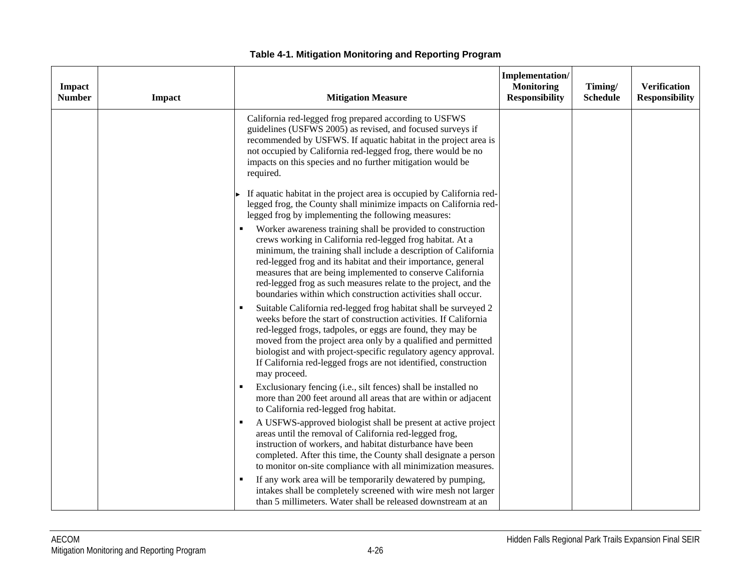| Impact<br><b>Number</b> | <b>Impact</b> | <b>Mitigation Measure</b>                                                                                                                                                                                                                                                                                                                                                                                                                                                                                                                                                                                                                                          | Implementation/<br><b>Monitoring</b><br><b>Responsibility</b> | Timing/<br><b>Schedule</b> | <b>Verification</b><br><b>Responsibility</b> |
|-------------------------|---------------|--------------------------------------------------------------------------------------------------------------------------------------------------------------------------------------------------------------------------------------------------------------------------------------------------------------------------------------------------------------------------------------------------------------------------------------------------------------------------------------------------------------------------------------------------------------------------------------------------------------------------------------------------------------------|---------------------------------------------------------------|----------------------------|----------------------------------------------|
|                         |               | California red-legged frog prepared according to USFWS<br>guidelines (USFWS 2005) as revised, and focused surveys if<br>recommended by USFWS. If aquatic habitat in the project area is<br>not occupied by California red-legged frog, there would be no<br>impacts on this species and no further mitigation would be<br>required.                                                                                                                                                                                                                                                                                                                                |                                                               |                            |                                              |
|                         |               | If aquatic habitat in the project area is occupied by California red-<br>legged frog, the County shall minimize impacts on California red-<br>legged frog by implementing the following measures:<br>Worker awareness training shall be provided to construction<br>crews working in California red-legged frog habitat. At a<br>minimum, the training shall include a description of California<br>red-legged frog and its habitat and their importance, general<br>measures that are being implemented to conserve California<br>red-legged frog as such measures relate to the project, and the<br>boundaries within which construction activities shall occur. |                                                               |                            |                                              |
|                         |               | Suitable California red-legged frog habitat shall be surveyed 2<br>weeks before the start of construction activities. If California<br>red-legged frogs, tadpoles, or eggs are found, they may be<br>moved from the project area only by a qualified and permitted<br>biologist and with project-specific regulatory agency approval.<br>If California red-legged frogs are not identified, construction<br>may proceed.                                                                                                                                                                                                                                           |                                                               |                            |                                              |
|                         |               | Exclusionary fencing (i.e., silt fences) shall be installed no<br>more than 200 feet around all areas that are within or adjacent<br>to California red-legged frog habitat.                                                                                                                                                                                                                                                                                                                                                                                                                                                                                        |                                                               |                            |                                              |
|                         |               | A USFWS-approved biologist shall be present at active project<br>areas until the removal of California red-legged frog,<br>instruction of workers, and habitat disturbance have been<br>completed. After this time, the County shall designate a person<br>to monitor on-site compliance with all minimization measures.                                                                                                                                                                                                                                                                                                                                           |                                                               |                            |                                              |
|                         |               | If any work area will be temporarily dewatered by pumping,<br>intakes shall be completely screened with wire mesh not larger<br>than 5 millimeters. Water shall be released downstream at an                                                                                                                                                                                                                                                                                                                                                                                                                                                                       |                                                               |                            |                                              |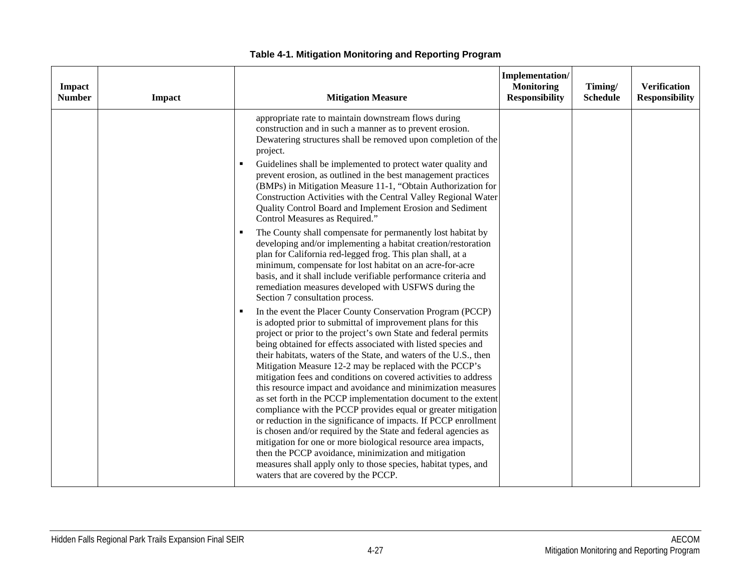| Impact<br><b>Number</b> | Impact | <b>Mitigation Measure</b>                                                                                                                                                                                                                                                                                                                                                                                                                                                                                                                                                                                                                                                                                                                                                                                                                                                                                                                                                                                                                       | Implementation/<br><b>Monitoring</b><br><b>Responsibility</b> | Timing/<br><b>Schedule</b> | <b>Verification</b><br><b>Responsibility</b> |
|-------------------------|--------|-------------------------------------------------------------------------------------------------------------------------------------------------------------------------------------------------------------------------------------------------------------------------------------------------------------------------------------------------------------------------------------------------------------------------------------------------------------------------------------------------------------------------------------------------------------------------------------------------------------------------------------------------------------------------------------------------------------------------------------------------------------------------------------------------------------------------------------------------------------------------------------------------------------------------------------------------------------------------------------------------------------------------------------------------|---------------------------------------------------------------|----------------------------|----------------------------------------------|
|                         |        | appropriate rate to maintain downstream flows during<br>construction and in such a manner as to prevent erosion.<br>Dewatering structures shall be removed upon completion of the<br>project.<br>Guidelines shall be implemented to protect water quality and<br>prevent erosion, as outlined in the best management practices<br>(BMPs) in Mitigation Measure 11-1, "Obtain Authorization for<br>Construction Activities with the Central Valley Regional Water<br>Quality Control Board and Implement Erosion and Sediment<br>Control Measures as Required."                                                                                                                                                                                                                                                                                                                                                                                                                                                                                  |                                                               |                            |                                              |
|                         |        | The County shall compensate for permanently lost habitat by<br>developing and/or implementing a habitat creation/restoration<br>plan for California red-legged frog. This plan shall, at a<br>minimum, compensate for lost habitat on an acre-for-acre<br>basis, and it shall include verifiable performance criteria and<br>remediation measures developed with USFWS during the<br>Section 7 consultation process.                                                                                                                                                                                                                                                                                                                                                                                                                                                                                                                                                                                                                            |                                                               |                            |                                              |
|                         |        | In the event the Placer County Conservation Program (PCCP)<br>٠<br>is adopted prior to submittal of improvement plans for this<br>project or prior to the project's own State and federal permits<br>being obtained for effects associated with listed species and<br>their habitats, waters of the State, and waters of the U.S., then<br>Mitigation Measure 12-2 may be replaced with the PCCP's<br>mitigation fees and conditions on covered activities to address<br>this resource impact and avoidance and minimization measures<br>as set forth in the PCCP implementation document to the extent<br>compliance with the PCCP provides equal or greater mitigation<br>or reduction in the significance of impacts. If PCCP enrollment<br>is chosen and/or required by the State and federal agencies as<br>mitigation for one or more biological resource area impacts,<br>then the PCCP avoidance, minimization and mitigation<br>measures shall apply only to those species, habitat types, and<br>waters that are covered by the PCCP. |                                                               |                            |                                              |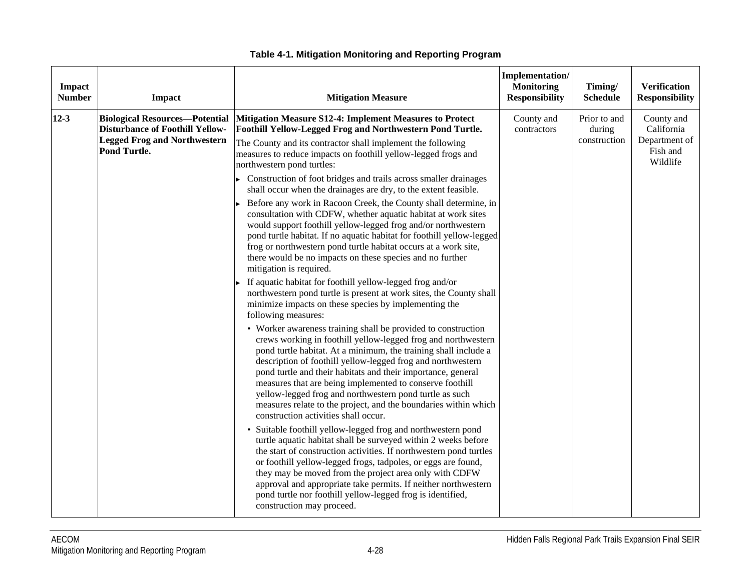| Impact<br><b>Number</b> | <b>Impact</b>                                                                                                                          | <b>Mitigation Measure</b>                                                                                                                                                                                                                                                                                                                                                                                                                                                                                                                                                                                                                                                                                                                                                                                                                                                                                                                                                                                                                                                                                                                                                                                                                                                                                                                                                                                                                                                                                                                                                                                                                                                                                                                                                                                                                                                                                                                                                                                                                                                                                                                                            | Implementation/<br><b>Monitoring</b><br><b>Responsibility</b> | Timing/<br><b>Schedule</b>             | <b>Verification</b><br><b>Responsibility</b>                      |
|-------------------------|----------------------------------------------------------------------------------------------------------------------------------------|----------------------------------------------------------------------------------------------------------------------------------------------------------------------------------------------------------------------------------------------------------------------------------------------------------------------------------------------------------------------------------------------------------------------------------------------------------------------------------------------------------------------------------------------------------------------------------------------------------------------------------------------------------------------------------------------------------------------------------------------------------------------------------------------------------------------------------------------------------------------------------------------------------------------------------------------------------------------------------------------------------------------------------------------------------------------------------------------------------------------------------------------------------------------------------------------------------------------------------------------------------------------------------------------------------------------------------------------------------------------------------------------------------------------------------------------------------------------------------------------------------------------------------------------------------------------------------------------------------------------------------------------------------------------------------------------------------------------------------------------------------------------------------------------------------------------------------------------------------------------------------------------------------------------------------------------------------------------------------------------------------------------------------------------------------------------------------------------------------------------------------------------------------------------|---------------------------------------------------------------|----------------------------------------|-------------------------------------------------------------------|
| $12 - 3$                | <b>Biological Resources-Potential</b><br><b>Disturbance of Foothill Yellow-</b><br><b>Legged Frog and Northwestern</b><br>Pond Turtle. | <b>Mitigation Measure S12-4: Implement Measures to Protect</b><br>Foothill Yellow-Legged Frog and Northwestern Pond Turtle.<br>The County and its contractor shall implement the following<br>measures to reduce impacts on foothill yellow-legged frogs and<br>northwestern pond turtles:<br>Construction of foot bridges and trails across smaller drainages<br>shall occur when the drainages are dry, to the extent feasible.<br>Before any work in Racoon Creek, the County shall determine, in<br>consultation with CDFW, whether aquatic habitat at work sites<br>would support foothill yellow-legged frog and/or northwestern<br>pond turtle habitat. If no aquatic habitat for foothill yellow-legged<br>frog or northwestern pond turtle habitat occurs at a work site,<br>there would be no impacts on these species and no further<br>mitigation is required.<br>If aquatic habitat for foothill yellow-legged frog and/or<br>northwestern pond turtle is present at work sites, the County shall<br>minimize impacts on these species by implementing the<br>following measures:<br>• Worker awareness training shall be provided to construction<br>crews working in foothill yellow-legged frog and northwestern<br>pond turtle habitat. At a minimum, the training shall include a<br>description of foothill yellow-legged frog and northwestern<br>pond turtle and their habitats and their importance, general<br>measures that are being implemented to conserve foothill<br>yellow-legged frog and northwestern pond turtle as such<br>measures relate to the project, and the boundaries within which<br>construction activities shall occur.<br>• Suitable foothill yellow-legged frog and northwestern pond<br>turtle aquatic habitat shall be surveyed within 2 weeks before<br>the start of construction activities. If northwestern pond turtles<br>or foothill yellow-legged frogs, tadpoles, or eggs are found,<br>they may be moved from the project area only with CDFW<br>approval and appropriate take permits. If neither northwestern<br>pond turtle nor foothill yellow-legged frog is identified,<br>construction may proceed. | County and<br>contractors                                     | Prior to and<br>during<br>construction | County and<br>California<br>Department of<br>Fish and<br>Wildlife |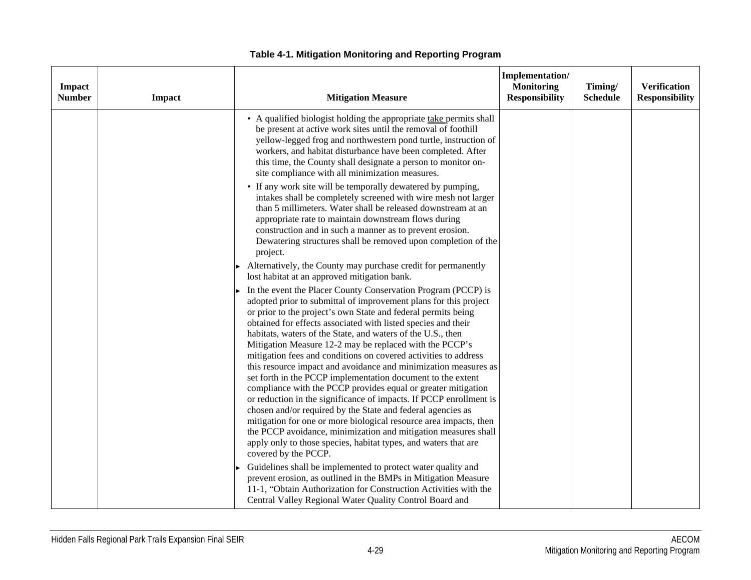| Impact<br><b>Number</b> | Impact | <b>Mitigation Measure</b>                                                                                                                                                                                                                                                                                                                                                                                                                                                                                                                                                                                                                                                                                                                                                                                                                                                                                                                                                                                                                  | Implementation/<br><b>Monitoring</b><br><b>Responsibility</b> | Timing/<br><b>Schedule</b> | <b>Verification</b><br><b>Responsibility</b> |
|-------------------------|--------|--------------------------------------------------------------------------------------------------------------------------------------------------------------------------------------------------------------------------------------------------------------------------------------------------------------------------------------------------------------------------------------------------------------------------------------------------------------------------------------------------------------------------------------------------------------------------------------------------------------------------------------------------------------------------------------------------------------------------------------------------------------------------------------------------------------------------------------------------------------------------------------------------------------------------------------------------------------------------------------------------------------------------------------------|---------------------------------------------------------------|----------------------------|----------------------------------------------|
|                         |        | • A qualified biologist holding the appropriate take permits shall<br>be present at active work sites until the removal of foothill<br>yellow-legged frog and northwestern pond turtle, instruction of<br>workers, and habitat disturbance have been completed. After<br>this time, the County shall designate a person to monitor on-<br>site compliance with all minimization measures.                                                                                                                                                                                                                                                                                                                                                                                                                                                                                                                                                                                                                                                  |                                                               |                            |                                              |
|                         |        | • If any work site will be temporally dewatered by pumping,<br>intakes shall be completely screened with wire mesh not larger<br>than 5 millimeters. Water shall be released downstream at an<br>appropriate rate to maintain downstream flows during<br>construction and in such a manner as to prevent erosion.<br>Dewatering structures shall be removed upon completion of the<br>project.                                                                                                                                                                                                                                                                                                                                                                                                                                                                                                                                                                                                                                             |                                                               |                            |                                              |
|                         |        | Alternatively, the County may purchase credit for permanently<br>lost habitat at an approved mitigation bank.                                                                                                                                                                                                                                                                                                                                                                                                                                                                                                                                                                                                                                                                                                                                                                                                                                                                                                                              |                                                               |                            |                                              |
|                         |        | In the event the Placer County Conservation Program (PCCP) is<br>adopted prior to submittal of improvement plans for this project<br>or prior to the project's own State and federal permits being<br>obtained for effects associated with listed species and their<br>habitats, waters of the State, and waters of the U.S., then<br>Mitigation Measure 12-2 may be replaced with the PCCP's<br>mitigation fees and conditions on covered activities to address<br>this resource impact and avoidance and minimization measures as<br>set forth in the PCCP implementation document to the extent<br>compliance with the PCCP provides equal or greater mitigation<br>or reduction in the significance of impacts. If PCCP enrollment is<br>chosen and/or required by the State and federal agencies as<br>mitigation for one or more biological resource area impacts, then<br>the PCCP avoidance, minimization and mitigation measures shall<br>apply only to those species, habitat types, and waters that are<br>covered by the PCCP. |                                                               |                            |                                              |
|                         |        | Guidelines shall be implemented to protect water quality and<br>prevent erosion, as outlined in the BMPs in Mitigation Measure<br>11-1, "Obtain Authorization for Construction Activities with the<br>Central Valley Regional Water Quality Control Board and                                                                                                                                                                                                                                                                                                                                                                                                                                                                                                                                                                                                                                                                                                                                                                              |                                                               |                            |                                              |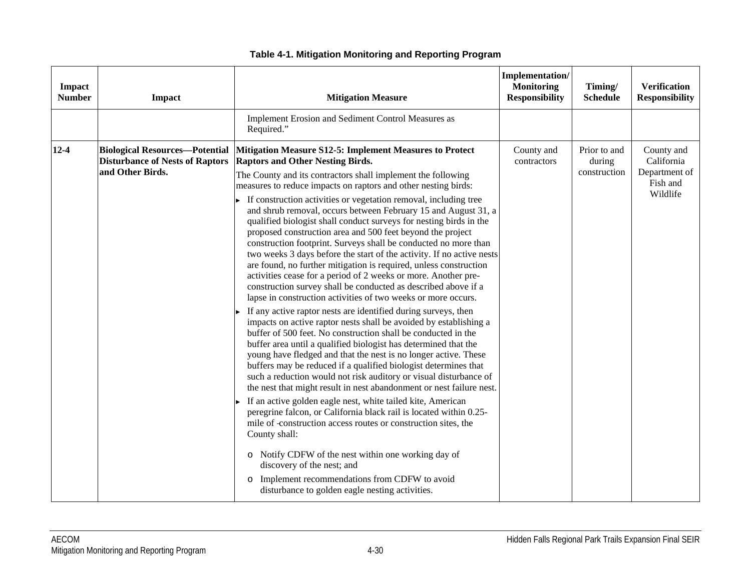| Impact<br><b>Number</b> | <b>Impact</b>                                                                                       | <b>Mitigation Measure</b>                                                                                                                                                                                                                                                                                                                                                                                                                                                                                                                                                                                                                                                                                                                                                                                                                                                                                                                                                                                                                                                                                                                                                                                                                                                                                                                                                                                                                                                                                                                                                                                                                                                                                                                                                                                                                                                                                            | Implementation/<br><b>Monitoring</b><br><b>Responsibility</b> | Timing/<br><b>Schedule</b>             | <b>Verification</b><br><b>Responsibility</b>                      |
|-------------------------|-----------------------------------------------------------------------------------------------------|----------------------------------------------------------------------------------------------------------------------------------------------------------------------------------------------------------------------------------------------------------------------------------------------------------------------------------------------------------------------------------------------------------------------------------------------------------------------------------------------------------------------------------------------------------------------------------------------------------------------------------------------------------------------------------------------------------------------------------------------------------------------------------------------------------------------------------------------------------------------------------------------------------------------------------------------------------------------------------------------------------------------------------------------------------------------------------------------------------------------------------------------------------------------------------------------------------------------------------------------------------------------------------------------------------------------------------------------------------------------------------------------------------------------------------------------------------------------------------------------------------------------------------------------------------------------------------------------------------------------------------------------------------------------------------------------------------------------------------------------------------------------------------------------------------------------------------------------------------------------------------------------------------------------|---------------------------------------------------------------|----------------------------------------|-------------------------------------------------------------------|
|                         |                                                                                                     | Implement Erosion and Sediment Control Measures as<br>Required."                                                                                                                                                                                                                                                                                                                                                                                                                                                                                                                                                                                                                                                                                                                                                                                                                                                                                                                                                                                                                                                                                                                                                                                                                                                                                                                                                                                                                                                                                                                                                                                                                                                                                                                                                                                                                                                     |                                                               |                                        |                                                                   |
| $12 - 4$                | <b>Biological Resources-Potential</b><br><b>Disturbance of Nests of Raptors</b><br>and Other Birds. | Mitigation Measure S12-5: Implement Measures to Protect<br><b>Raptors and Other Nesting Birds.</b><br>The County and its contractors shall implement the following<br>measures to reduce impacts on raptors and other nesting birds:<br>If construction activities or vegetation removal, including tree<br>and shrub removal, occurs between February 15 and August 31, a<br>qualified biologist shall conduct surveys for nesting birds in the<br>proposed construction area and 500 feet beyond the project<br>construction footprint. Surveys shall be conducted no more than<br>two weeks 3 days before the start of the activity. If no active nests<br>are found, no further mitigation is required, unless construction<br>activities cease for a period of 2 weeks or more. Another pre-<br>construction survey shall be conducted as described above if a<br>lapse in construction activities of two weeks or more occurs.<br>If any active raptor nests are identified during surveys, then<br>impacts on active raptor nests shall be avoided by establishing a<br>buffer of 500 feet. No construction shall be conducted in the<br>buffer area until a qualified biologist has determined that the<br>young have fledged and that the nest is no longer active. These<br>buffers may be reduced if a qualified biologist determines that<br>such a reduction would not risk auditory or visual disturbance of<br>the nest that might result in nest abandonment or nest failure nest.<br>If an active golden eagle nest, white tailed kite, American<br>peregrine falcon, or California black rail is located within 0.25-<br>mile of -construction access routes or construction sites, the<br>County shall:<br>o Notify CDFW of the nest within one working day of<br>discovery of the nest; and<br>o Implement recommendations from CDFW to avoid<br>disturbance to golden eagle nesting activities. | County and<br>contractors                                     | Prior to and<br>during<br>construction | County and<br>California<br>Department of<br>Fish and<br>Wildlife |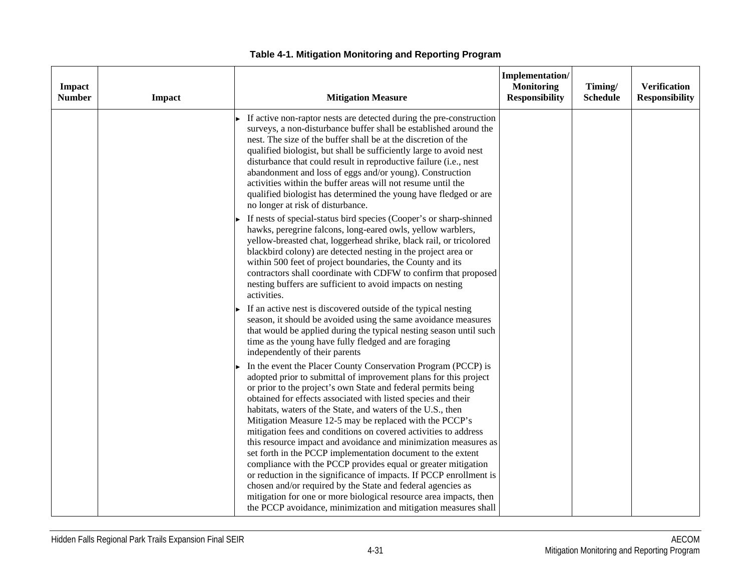| Impact<br><b>Number</b> | <b>Impact</b> | <b>Mitigation Measure</b>                                                                                                                                                                                                                                                                                                                                                                                                                                                                                                                                                                                                                                                                                                                                                                                                                                                     | Implementation/<br><b>Monitoring</b><br><b>Responsibility</b> | Timing/<br><b>Schedule</b> | <b>Verification</b><br><b>Responsibility</b> |
|-------------------------|---------------|-------------------------------------------------------------------------------------------------------------------------------------------------------------------------------------------------------------------------------------------------------------------------------------------------------------------------------------------------------------------------------------------------------------------------------------------------------------------------------------------------------------------------------------------------------------------------------------------------------------------------------------------------------------------------------------------------------------------------------------------------------------------------------------------------------------------------------------------------------------------------------|---------------------------------------------------------------|----------------------------|----------------------------------------------|
|                         |               | If active non-raptor nests are detected during the pre-construction<br>surveys, a non-disturbance buffer shall be established around the<br>nest. The size of the buffer shall be at the discretion of the<br>qualified biologist, but shall be sufficiently large to avoid nest<br>disturbance that could result in reproductive failure (i.e., nest<br>abandonment and loss of eggs and/or young). Construction<br>activities within the buffer areas will not resume until the<br>qualified biologist has determined the young have fledged or are<br>no longer at risk of disturbance.                                                                                                                                                                                                                                                                                    |                                                               |                            |                                              |
|                         |               | If nests of special-status bird species (Cooper's or sharp-shinned<br>hawks, peregrine falcons, long-eared owls, yellow warblers,<br>yellow-breasted chat, loggerhead shrike, black rail, or tricolored<br>blackbird colony) are detected nesting in the project area or<br>within 500 feet of project boundaries, the County and its<br>contractors shall coordinate with CDFW to confirm that proposed<br>nesting buffers are sufficient to avoid impacts on nesting<br>activities.                                                                                                                                                                                                                                                                                                                                                                                         |                                                               |                            |                                              |
|                         |               | If an active nest is discovered outside of the typical nesting<br>season, it should be avoided using the same avoidance measures<br>that would be applied during the typical nesting season until such<br>time as the young have fully fledged and are foraging<br>independently of their parents                                                                                                                                                                                                                                                                                                                                                                                                                                                                                                                                                                             |                                                               |                            |                                              |
|                         |               | In the event the Placer County Conservation Program (PCCP) is<br>adopted prior to submittal of improvement plans for this project<br>or prior to the project's own State and federal permits being<br>obtained for effects associated with listed species and their<br>habitats, waters of the State, and waters of the U.S., then<br>Mitigation Measure 12-5 may be replaced with the PCCP's<br>mitigation fees and conditions on covered activities to address<br>this resource impact and avoidance and minimization measures as<br>set forth in the PCCP implementation document to the extent<br>compliance with the PCCP provides equal or greater mitigation<br>or reduction in the significance of impacts. If PCCP enrollment is<br>chosen and/or required by the State and federal agencies as<br>mitigation for one or more biological resource area impacts, then |                                                               |                            |                                              |
|                         |               | the PCCP avoidance, minimization and mitigation measures shall                                                                                                                                                                                                                                                                                                                                                                                                                                                                                                                                                                                                                                                                                                                                                                                                                |                                                               |                            |                                              |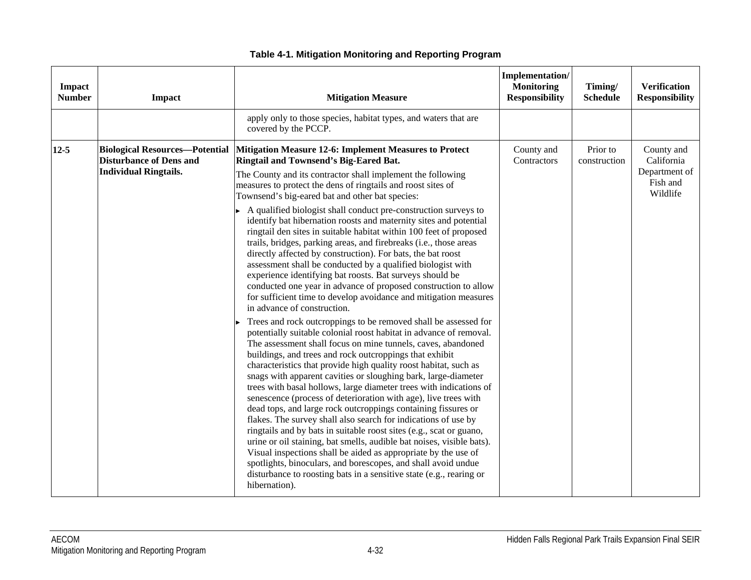| Impact<br><b>Number</b> | <b>Impact</b>                                                                                           | <b>Mitigation Measure</b>                                                                                                                                                                                                                                                                                                                                                                                                                                                                                                                                                                                                                                                                                                                                                                                                                                                                                                                                                                                                                                                                                                                                                                                                                                                                                                                                                                                                                                                                                                                                                                                                                                                                                                                                                                                                                                                                                                                                                                    | Implementation/<br><b>Monitoring</b><br><b>Responsibility</b> | Timing/<br><b>Schedule</b> | <b>Verification</b><br><b>Responsibility</b>                      |
|-------------------------|---------------------------------------------------------------------------------------------------------|----------------------------------------------------------------------------------------------------------------------------------------------------------------------------------------------------------------------------------------------------------------------------------------------------------------------------------------------------------------------------------------------------------------------------------------------------------------------------------------------------------------------------------------------------------------------------------------------------------------------------------------------------------------------------------------------------------------------------------------------------------------------------------------------------------------------------------------------------------------------------------------------------------------------------------------------------------------------------------------------------------------------------------------------------------------------------------------------------------------------------------------------------------------------------------------------------------------------------------------------------------------------------------------------------------------------------------------------------------------------------------------------------------------------------------------------------------------------------------------------------------------------------------------------------------------------------------------------------------------------------------------------------------------------------------------------------------------------------------------------------------------------------------------------------------------------------------------------------------------------------------------------------------------------------------------------------------------------------------------------|---------------------------------------------------------------|----------------------------|-------------------------------------------------------------------|
|                         |                                                                                                         | apply only to those species, habitat types, and waters that are<br>covered by the PCCP.                                                                                                                                                                                                                                                                                                                                                                                                                                                                                                                                                                                                                                                                                                                                                                                                                                                                                                                                                                                                                                                                                                                                                                                                                                                                                                                                                                                                                                                                                                                                                                                                                                                                                                                                                                                                                                                                                                      |                                                               |                            |                                                                   |
| $12 - 5$                | <b>Biological Resources-Potential</b><br><b>Disturbance of Dens and</b><br><b>Individual Ringtails.</b> | <b>Mitigation Measure 12-6: Implement Measures to Protect</b><br>Ringtail and Townsend's Big-Eared Bat.<br>The County and its contractor shall implement the following<br>measures to protect the dens of ringtails and roost sites of<br>Townsend's big-eared bat and other bat species:<br>A qualified biologist shall conduct pre-construction surveys to<br>identify bat hibernation roosts and maternity sites and potential<br>ringtail den sites in suitable habitat within 100 feet of proposed<br>trails, bridges, parking areas, and firebreaks (i.e., those areas<br>directly affected by construction). For bats, the bat roost<br>assessment shall be conducted by a qualified biologist with<br>experience identifying bat roosts. Bat surveys should be<br>conducted one year in advance of proposed construction to allow<br>for sufficient time to develop avoidance and mitigation measures<br>in advance of construction.<br>Trees and rock outcroppings to be removed shall be assessed for<br>potentially suitable colonial roost habitat in advance of removal.<br>The assessment shall focus on mine tunnels, caves, abandoned<br>buildings, and trees and rock outcroppings that exhibit<br>characteristics that provide high quality roost habitat, such as<br>snags with apparent cavities or sloughing bark, large-diameter<br>trees with basal hollows, large diameter trees with indications of<br>senescence (process of deterioration with age), live trees with<br>dead tops, and large rock outcroppings containing fissures or<br>flakes. The survey shall also search for indications of use by<br>ringtails and by bats in suitable roost sites (e.g., scat or guano,<br>urine or oil staining, bat smells, audible bat noises, visible bats).<br>Visual inspections shall be aided as appropriate by the use of<br>spotlights, binoculars, and borescopes, and shall avoid undue<br>disturbance to roosting bats in a sensitive state (e.g., rearing or | County and<br>Contractors                                     | Prior to<br>construction   | County and<br>California<br>Department of<br>Fish and<br>Wildlife |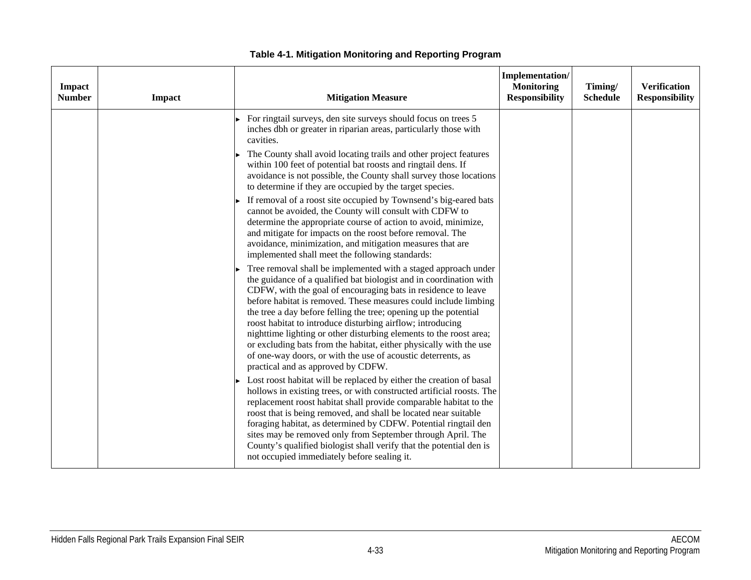| Impact<br><b>Number</b> | Impact | <b>Mitigation Measure</b>                                                                                                                                                                                                                                                                                                                                                                                                                                                                                                                                                                                                                                    | Implementation/<br><b>Monitoring</b><br><b>Responsibility</b> | Timing/<br><b>Schedule</b> | <b>Verification</b><br><b>Responsibility</b> |
|-------------------------|--------|--------------------------------------------------------------------------------------------------------------------------------------------------------------------------------------------------------------------------------------------------------------------------------------------------------------------------------------------------------------------------------------------------------------------------------------------------------------------------------------------------------------------------------------------------------------------------------------------------------------------------------------------------------------|---------------------------------------------------------------|----------------------------|----------------------------------------------|
|                         |        | For ringtail surveys, den site surveys should focus on trees 5<br>inches dbh or greater in riparian areas, particularly those with<br>cavities.<br>The County shall avoid locating trails and other project features<br>within 100 feet of potential bat roosts and ringtail dens. If<br>avoidance is not possible, the County shall survey those locations<br>to determine if they are occupied by the target species.<br>If removal of a roost site occupied by Townsend's big-eared bats<br>cannot be avoided, the County will consult with CDFW to<br>determine the appropriate course of action to avoid, minimize,                                     |                                                               |                            |                                              |
|                         |        | and mitigate for impacts on the roost before removal. The<br>avoidance, minimization, and mitigation measures that are<br>implemented shall meet the following standards:                                                                                                                                                                                                                                                                                                                                                                                                                                                                                    |                                                               |                            |                                              |
|                         |        | Tree removal shall be implemented with a staged approach under<br>the guidance of a qualified bat biologist and in coordination with<br>CDFW, with the goal of encouraging bats in residence to leave<br>before habitat is removed. These measures could include limbing<br>the tree a day before felling the tree; opening up the potential<br>roost habitat to introduce disturbing airflow; introducing<br>nighttime lighting or other disturbing elements to the roost area;<br>or excluding bats from the habitat, either physically with the use<br>of one-way doors, or with the use of acoustic deterrents, as<br>practical and as approved by CDFW. |                                                               |                            |                                              |
|                         |        | Lost roost habitat will be replaced by either the creation of basal<br>hollows in existing trees, or with constructed artificial roosts. The<br>replacement roost habitat shall provide comparable habitat to the<br>roost that is being removed, and shall be located near suitable<br>foraging habitat, as determined by CDFW. Potential ringtail den<br>sites may be removed only from September through April. The<br>County's qualified biologist shall verify that the potential den is<br>not occupied immediately before sealing it.                                                                                                                 |                                                               |                            |                                              |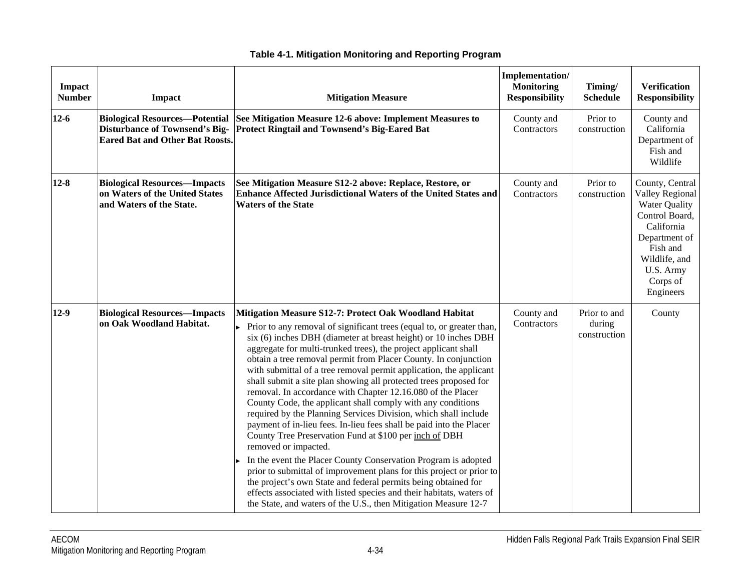| Impact<br><b>Number</b> | Impact                                                                                                                   | <b>Mitigation Measure</b>                                                                                                                                                                                                                                                                                                                                                                                                                                                                                                                                                                                                                                                                                                                                                                                                                                                                                                                                                                                                                                                                                                                                                                            | Implementation/<br><b>Monitoring</b><br><b>Responsibility</b> | Timing/<br><b>Schedule</b>             | <b>Verification</b><br><b>Responsibility</b>                                                                                                                                   |
|-------------------------|--------------------------------------------------------------------------------------------------------------------------|------------------------------------------------------------------------------------------------------------------------------------------------------------------------------------------------------------------------------------------------------------------------------------------------------------------------------------------------------------------------------------------------------------------------------------------------------------------------------------------------------------------------------------------------------------------------------------------------------------------------------------------------------------------------------------------------------------------------------------------------------------------------------------------------------------------------------------------------------------------------------------------------------------------------------------------------------------------------------------------------------------------------------------------------------------------------------------------------------------------------------------------------------------------------------------------------------|---------------------------------------------------------------|----------------------------------------|--------------------------------------------------------------------------------------------------------------------------------------------------------------------------------|
| $12-6$                  | <b>Biological Resources-Potential</b><br><b>Disturbance of Townsend's Big-</b><br><b>Eared Bat and Other Bat Roosts.</b> | See Mitigation Measure 12-6 above: Implement Measures to<br><b>Protect Ringtail and Townsend's Big-Eared Bat</b>                                                                                                                                                                                                                                                                                                                                                                                                                                                                                                                                                                                                                                                                                                                                                                                                                                                                                                                                                                                                                                                                                     | County and<br>Contractors                                     | Prior to<br>construction               | County and<br>California<br>Department of<br>Fish and<br>Wildlife                                                                                                              |
| $12 - 8$                | <b>Biological Resources-Impacts</b><br>on Waters of the United States<br>and Waters of the State.                        | See Mitigation Measure S12-2 above: Replace, Restore, or<br><b>Enhance Affected Jurisdictional Waters of the United States and</b><br><b>Waters of the State</b>                                                                                                                                                                                                                                                                                                                                                                                                                                                                                                                                                                                                                                                                                                                                                                                                                                                                                                                                                                                                                                     | County and<br>Contractors                                     | Prior to<br>construction               | County, Central<br>Valley Regional<br><b>Water Quality</b><br>Control Board,<br>California<br>Department of<br>Fish and<br>Wildlife, and<br>U.S. Army<br>Corps of<br>Engineers |
| $12-9$                  | <b>Biological Resources-Impacts</b><br>on Oak Woodland Habitat.                                                          | Mitigation Measure S12-7: Protect Oak Woodland Habitat<br>Prior to any removal of significant trees (equal to, or greater than,<br>six (6) inches DBH (diameter at breast height) or 10 inches DBH<br>aggregate for multi-trunked trees), the project applicant shall<br>obtain a tree removal permit from Placer County. In conjunction<br>with submittal of a tree removal permit application, the applicant<br>shall submit a site plan showing all protected trees proposed for<br>removal. In accordance with Chapter 12.16.080 of the Placer<br>County Code, the applicant shall comply with any conditions<br>required by the Planning Services Division, which shall include<br>payment of in-lieu fees. In-lieu fees shall be paid into the Placer<br>County Tree Preservation Fund at \$100 per inch of DBH<br>removed or impacted.<br>In the event the Placer County Conservation Program is adopted<br>prior to submittal of improvement plans for this project or prior to<br>the project's own State and federal permits being obtained for<br>effects associated with listed species and their habitats, waters of<br>the State, and waters of the U.S., then Mitigation Measure 12-7 | County and<br>Contractors                                     | Prior to and<br>during<br>construction | County                                                                                                                                                                         |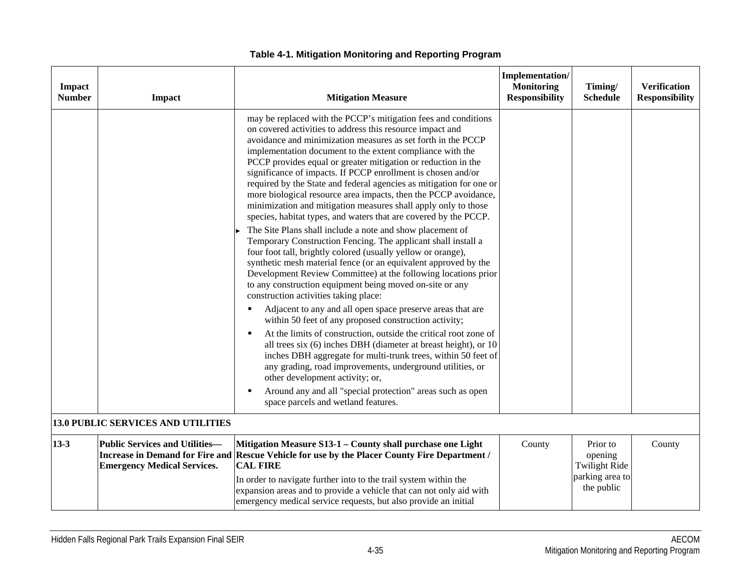| <b>Impact</b><br><b>Number</b> | Impact                                                                      | <b>Mitigation Measure</b>                                                                                                                                                                                                                                                                                                                                                                                                                                                                                                                                                                                                                                                                                                                                                                                                                                                                                                                                                                                                                                                                                                                                                                                                                                                                                                                                                                                                                                                                                                                                                                                                                             | Implementation/<br><b>Monitoring</b><br><b>Responsibility</b> | Timing/<br><b>Schedule</b>                                                   | <b>Verification</b><br><b>Responsibility</b> |
|--------------------------------|-----------------------------------------------------------------------------|-------------------------------------------------------------------------------------------------------------------------------------------------------------------------------------------------------------------------------------------------------------------------------------------------------------------------------------------------------------------------------------------------------------------------------------------------------------------------------------------------------------------------------------------------------------------------------------------------------------------------------------------------------------------------------------------------------------------------------------------------------------------------------------------------------------------------------------------------------------------------------------------------------------------------------------------------------------------------------------------------------------------------------------------------------------------------------------------------------------------------------------------------------------------------------------------------------------------------------------------------------------------------------------------------------------------------------------------------------------------------------------------------------------------------------------------------------------------------------------------------------------------------------------------------------------------------------------------------------------------------------------------------------|---------------------------------------------------------------|------------------------------------------------------------------------------|----------------------------------------------|
|                                |                                                                             | may be replaced with the PCCP's mitigation fees and conditions<br>on covered activities to address this resource impact and<br>avoidance and minimization measures as set forth in the PCCP<br>implementation document to the extent compliance with the<br>PCCP provides equal or greater mitigation or reduction in the<br>significance of impacts. If PCCP enrollment is chosen and/or<br>required by the State and federal agencies as mitigation for one or<br>more biological resource area impacts, then the PCCP avoidance,<br>minimization and mitigation measures shall apply only to those<br>species, habitat types, and waters that are covered by the PCCP.<br>The Site Plans shall include a note and show placement of<br>Temporary Construction Fencing. The applicant shall install a<br>four foot tall, brightly colored (usually yellow or orange),<br>synthetic mesh material fence (or an equivalent approved by the<br>Development Review Committee) at the following locations prior<br>to any construction equipment being moved on-site or any<br>construction activities taking place:<br>Adjacent to any and all open space preserve areas that are<br>within 50 feet of any proposed construction activity;<br>At the limits of construction, outside the critical root zone of<br>all trees six (6) inches DBH (diameter at breast height), or 10<br>inches DBH aggregate for multi-trunk trees, within 50 feet of<br>any grading, road improvements, underground utilities, or<br>other development activity; or,<br>Around any and all "special protection" areas such as open<br>space parcels and wetland features. |                                                               |                                                                              |                                              |
|                                | <b>13.0 PUBLIC SERVICES AND UTILITIES</b>                                   |                                                                                                                                                                                                                                                                                                                                                                                                                                                                                                                                                                                                                                                                                                                                                                                                                                                                                                                                                                                                                                                                                                                                                                                                                                                                                                                                                                                                                                                                                                                                                                                                                                                       |                                                               |                                                                              |                                              |
| $13 - 3$                       | <b>Public Services and Utilities-</b><br><b>Emergency Medical Services.</b> | Mitigation Measure S13-1 - County shall purchase one Light<br>Increase in Demand for Fire and Rescue Vehicle for use by the Placer County Fire Department /<br><b>CAL FIRE</b><br>In order to navigate further into to the trail system within the<br>expansion areas and to provide a vehicle that can not only aid with<br>emergency medical service requests, but also provide an initial                                                                                                                                                                                                                                                                                                                                                                                                                                                                                                                                                                                                                                                                                                                                                                                                                                                                                                                                                                                                                                                                                                                                                                                                                                                          | County                                                        | Prior to<br>opening<br><b>Twilight Ride</b><br>parking area to<br>the public | County                                       |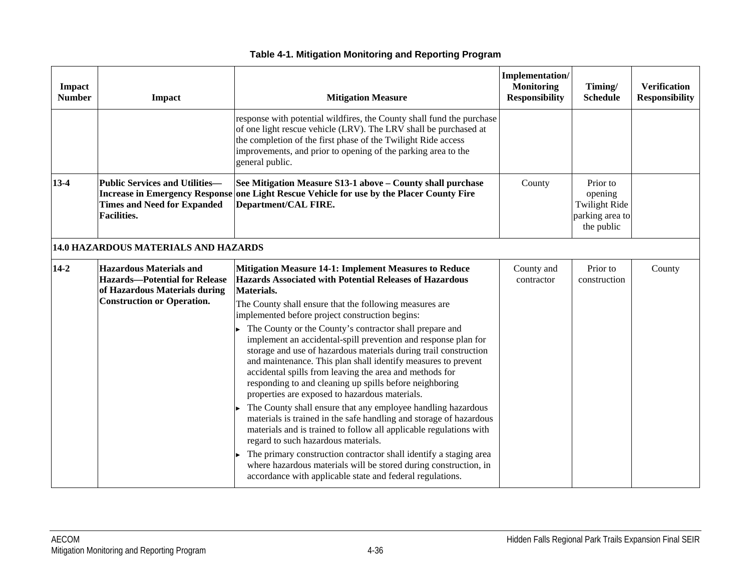| Impact<br><b>Number</b> | Impact                                                                                                                                       | <b>Mitigation Measure</b>                                                                                                                                                                                                                                                                                                                                                                                                              | Implementation/<br><b>Monitoring</b><br><b>Responsibility</b> | Timing/<br><b>Schedule</b>                                                   | <b>Verification</b><br><b>Responsibility</b> |
|-------------------------|----------------------------------------------------------------------------------------------------------------------------------------------|----------------------------------------------------------------------------------------------------------------------------------------------------------------------------------------------------------------------------------------------------------------------------------------------------------------------------------------------------------------------------------------------------------------------------------------|---------------------------------------------------------------|------------------------------------------------------------------------------|----------------------------------------------|
|                         |                                                                                                                                              | response with potential wildfires, the County shall fund the purchase<br>of one light rescue vehicle (LRV). The LRV shall be purchased at<br>the completion of the first phase of the Twilight Ride access<br>improvements, and prior to opening of the parking area to the<br>general public.                                                                                                                                         |                                                               |                                                                              |                                              |
| $13 - 4$                | <b>Public Services and Utilities-</b><br><b>Times and Need for Expanded</b><br><b>Facilities.</b>                                            | See Mitigation Measure S13-1 above - County shall purchase<br>Increase in Emergency Response one Light Rescue Vehicle for use by the Placer County Fire<br>Department/CAL FIRE.                                                                                                                                                                                                                                                        | County                                                        | Prior to<br>opening<br><b>Twilight Ride</b><br>parking area to<br>the public |                                              |
|                         | 14.0 HAZARDOUS MATERIALS AND HAZARDS                                                                                                         |                                                                                                                                                                                                                                                                                                                                                                                                                                        |                                                               |                                                                              |                                              |
| $14 - 2$                | <b>Hazardous Materials and</b><br><b>Hazards-Potential for Release</b><br>of Hazardous Materials during<br><b>Construction or Operation.</b> | <b>Mitigation Measure 14-1: Implement Measures to Reduce</b><br>Hazards Associated with Potential Releases of Hazardous<br>Materials.<br>The County shall ensure that the following measures are<br>implemented before project construction begins:                                                                                                                                                                                    | County and<br>contractor                                      | Prior to<br>construction                                                     | County                                       |
|                         |                                                                                                                                              | The County or the County's contractor shall prepare and<br>implement an accidental-spill prevention and response plan for<br>storage and use of hazardous materials during trail construction<br>and maintenance. This plan shall identify measures to prevent<br>accidental spills from leaving the area and methods for<br>responding to and cleaning up spills before neighboring<br>properties are exposed to hazardous materials. |                                                               |                                                                              |                                              |
|                         |                                                                                                                                              | The County shall ensure that any employee handling hazardous<br>materials is trained in the safe handling and storage of hazardous<br>materials and is trained to follow all applicable regulations with<br>regard to such hazardous materials.                                                                                                                                                                                        |                                                               |                                                                              |                                              |
|                         |                                                                                                                                              | The primary construction contractor shall identify a staging area<br>where hazardous materials will be stored during construction, in<br>accordance with applicable state and federal regulations.                                                                                                                                                                                                                                     |                                                               |                                                                              |                                              |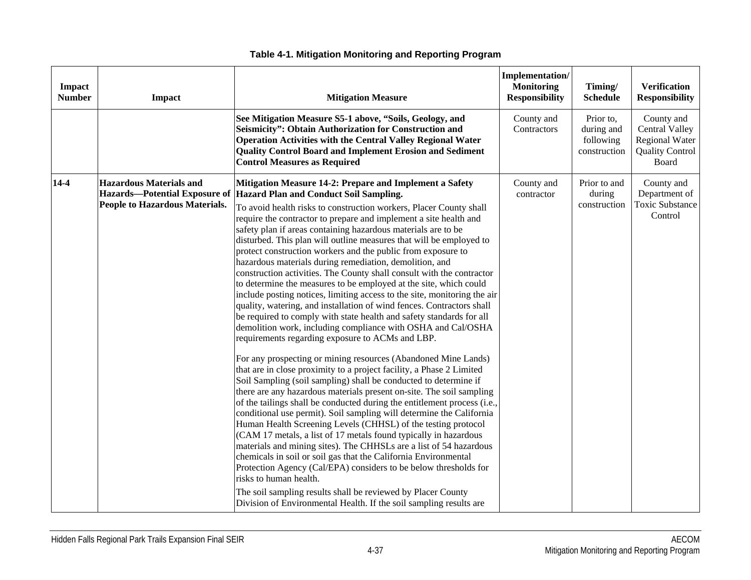| Impact<br><b>Number</b> | <b>Impact</b>                                                                                            | <b>Mitigation Measure</b>                                                                                                                                                                                                                                                                                                                                                                                                                                                                                                                                                                                                                                                                                                                                                                                                                                                                                                                                                                                                                                                                                                                                                                                                                                                                                                                                                                                                                                                                                                                                                                                                                                                                                                                                                                                                                                                                                                                                                         | Implementation/<br><b>Monitoring</b><br><b>Responsibility</b> | Timing/<br><b>Schedule</b>                           | <b>Verification</b><br><b>Responsibility</b>                                                    |
|-------------------------|----------------------------------------------------------------------------------------------------------|-----------------------------------------------------------------------------------------------------------------------------------------------------------------------------------------------------------------------------------------------------------------------------------------------------------------------------------------------------------------------------------------------------------------------------------------------------------------------------------------------------------------------------------------------------------------------------------------------------------------------------------------------------------------------------------------------------------------------------------------------------------------------------------------------------------------------------------------------------------------------------------------------------------------------------------------------------------------------------------------------------------------------------------------------------------------------------------------------------------------------------------------------------------------------------------------------------------------------------------------------------------------------------------------------------------------------------------------------------------------------------------------------------------------------------------------------------------------------------------------------------------------------------------------------------------------------------------------------------------------------------------------------------------------------------------------------------------------------------------------------------------------------------------------------------------------------------------------------------------------------------------------------------------------------------------------------------------------------------------|---------------------------------------------------------------|------------------------------------------------------|-------------------------------------------------------------------------------------------------|
|                         |                                                                                                          | See Mitigation Measure S5-1 above, "Soils, Geology, and<br>Seismicity": Obtain Authorization for Construction and<br><b>Operation Activities with the Central Valley Regional Water</b><br><b>Quality Control Board and Implement Erosion and Sediment</b><br><b>Control Measures as Required</b>                                                                                                                                                                                                                                                                                                                                                                                                                                                                                                                                                                                                                                                                                                                                                                                                                                                                                                                                                                                                                                                                                                                                                                                                                                                                                                                                                                                                                                                                                                                                                                                                                                                                                 | County and<br>Contractors                                     | Prior to,<br>during and<br>following<br>construction | County and<br><b>Central Valley</b><br><b>Regional Water</b><br><b>Quality Control</b><br>Board |
| $14 - 4$                | <b>Hazardous Materials and</b><br><b>Hazards-Potential Exposure of</b><br>People to Hazardous Materials. | Mitigation Measure 14-2: Prepare and Implement a Safety<br><b>Hazard Plan and Conduct Soil Sampling.</b><br>To avoid health risks to construction workers, Placer County shall<br>require the contractor to prepare and implement a site health and<br>safety plan if areas containing hazardous materials are to be<br>disturbed. This plan will outline measures that will be employed to<br>protect construction workers and the public from exposure to<br>hazardous materials during remediation, demolition, and<br>construction activities. The County shall consult with the contractor<br>to determine the measures to be employed at the site, which could<br>include posting notices, limiting access to the site, monitoring the air<br>quality, watering, and installation of wind fences. Contractors shall<br>be required to comply with state health and safety standards for all<br>demolition work, including compliance with OSHA and Cal/OSHA<br>requirements regarding exposure to ACMs and LBP.<br>For any prospecting or mining resources (Abandoned Mine Lands)<br>that are in close proximity to a project facility, a Phase 2 Limited<br>Soil Sampling (soil sampling) shall be conducted to determine if<br>there are any hazardous materials present on-site. The soil sampling<br>of the tailings shall be conducted during the entitlement process (i.e.,<br>conditional use permit). Soil sampling will determine the California<br>Human Health Screening Levels (CHHSL) of the testing protocol<br>(CAM 17 metals, a list of 17 metals found typically in hazardous<br>materials and mining sites). The CHHSLs are a list of 54 hazardous<br>chemicals in soil or soil gas that the California Environmental<br>Protection Agency (Cal/EPA) considers to be below thresholds for<br>risks to human health.<br>The soil sampling results shall be reviewed by Placer County<br>Division of Environmental Health. If the soil sampling results are | County and<br>contractor                                      | Prior to and<br>during<br>construction               | County and<br>Department of<br><b>Toxic Substance</b><br>Control                                |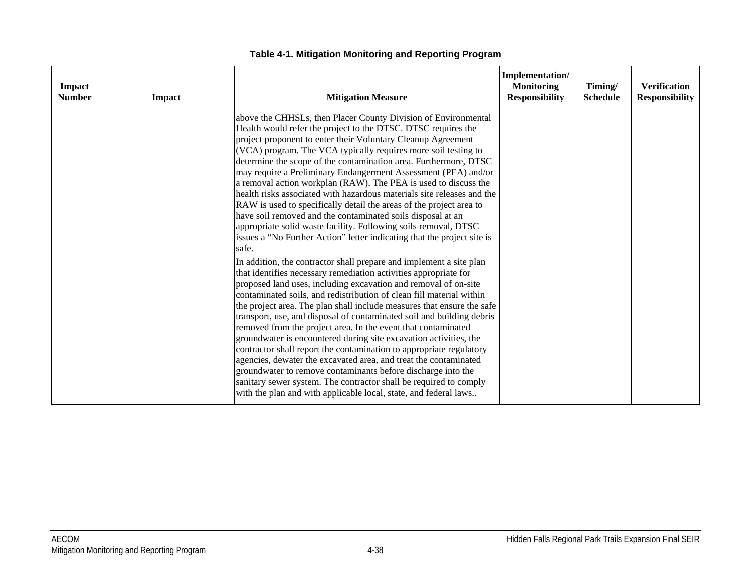| Impact<br><b>Number</b> | <b>Impact</b> | <b>Mitigation Measure</b>                                                                                                                                                                                                                                                                                                                                                                                                                                                                                                                                                                                                                                                                                                                                                                                                                                                                                                                                                                                                                                                                                                                                                                                                                                                                                                                                                                                                                                                                                                                                                                                                                                                                                                                                                            | Implementation/<br><b>Monitoring</b><br><b>Responsibility</b> | Timing/<br><b>Schedule</b> | <b>Verification</b><br><b>Responsibility</b> |
|-------------------------|---------------|--------------------------------------------------------------------------------------------------------------------------------------------------------------------------------------------------------------------------------------------------------------------------------------------------------------------------------------------------------------------------------------------------------------------------------------------------------------------------------------------------------------------------------------------------------------------------------------------------------------------------------------------------------------------------------------------------------------------------------------------------------------------------------------------------------------------------------------------------------------------------------------------------------------------------------------------------------------------------------------------------------------------------------------------------------------------------------------------------------------------------------------------------------------------------------------------------------------------------------------------------------------------------------------------------------------------------------------------------------------------------------------------------------------------------------------------------------------------------------------------------------------------------------------------------------------------------------------------------------------------------------------------------------------------------------------------------------------------------------------------------------------------------------------|---------------------------------------------------------------|----------------------------|----------------------------------------------|
|                         |               | above the CHHSLs, then Placer County Division of Environmental<br>Health would refer the project to the DTSC. DTSC requires the<br>project proponent to enter their Voluntary Cleanup Agreement<br>(VCA) program. The VCA typically requires more soil testing to<br>determine the scope of the contamination area. Furthermore, DTSC<br>may require a Preliminary Endangerment Assessment (PEA) and/or<br>a removal action workplan (RAW). The PEA is used to discuss the<br>health risks associated with hazardous materials site releases and the<br>RAW is used to specifically detail the areas of the project area to<br>have soil removed and the contaminated soils disposal at an<br>appropriate solid waste facility. Following soils removal, DTSC<br>issues a "No Further Action" letter indicating that the project site is<br>safe.<br>In addition, the contractor shall prepare and implement a site plan<br>that identifies necessary remediation activities appropriate for<br>proposed land uses, including excavation and removal of on-site<br>contaminated soils, and redistribution of clean fill material within<br>the project area. The plan shall include measures that ensure the safe<br>transport, use, and disposal of contaminated soil and building debris<br>removed from the project area. In the event that contaminated<br>groundwater is encountered during site excavation activities, the<br>contractor shall report the contamination to appropriate regulatory<br>agencies, dewater the excavated area, and treat the contaminated<br>groundwater to remove contaminants before discharge into the<br>sanitary sewer system. The contractor shall be required to comply<br>with the plan and with applicable local, state, and federal laws |                                                               |                            |                                              |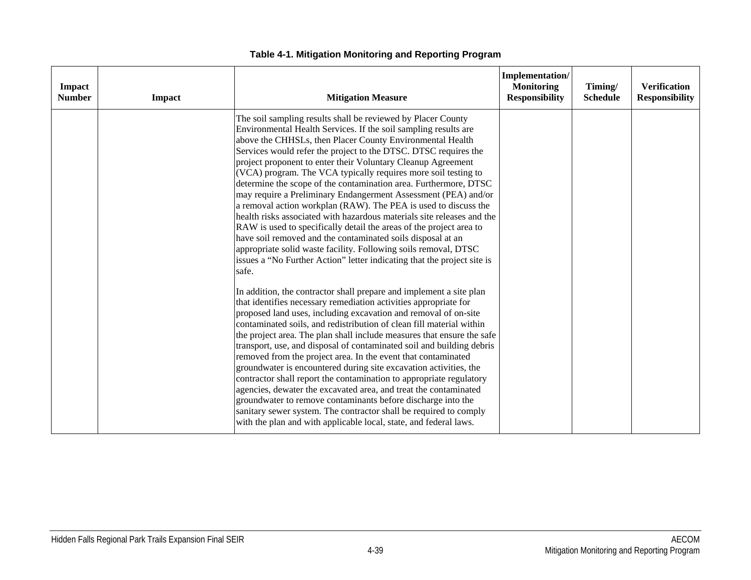| Impact<br><b>Number</b> | Impact | <b>Mitigation Measure</b>                                                                                                                                                                                                                                                                                                                                                                                                                                                                                                                                                                                                                                                                                                                                                                                                                                                                                                                                                                                                                                                                                                                                                                                                                                                                                                                                                                                                                                                                                                                                                                                                                                                                                                                                                                                                                                                                                             | Implementation/<br><b>Monitoring</b><br><b>Responsibility</b> | Timing/<br><b>Schedule</b> | <b>Verification</b><br><b>Responsibility</b> |
|-------------------------|--------|-----------------------------------------------------------------------------------------------------------------------------------------------------------------------------------------------------------------------------------------------------------------------------------------------------------------------------------------------------------------------------------------------------------------------------------------------------------------------------------------------------------------------------------------------------------------------------------------------------------------------------------------------------------------------------------------------------------------------------------------------------------------------------------------------------------------------------------------------------------------------------------------------------------------------------------------------------------------------------------------------------------------------------------------------------------------------------------------------------------------------------------------------------------------------------------------------------------------------------------------------------------------------------------------------------------------------------------------------------------------------------------------------------------------------------------------------------------------------------------------------------------------------------------------------------------------------------------------------------------------------------------------------------------------------------------------------------------------------------------------------------------------------------------------------------------------------------------------------------------------------------------------------------------------------|---------------------------------------------------------------|----------------------------|----------------------------------------------|
|                         |        | The soil sampling results shall be reviewed by Placer County<br>Environmental Health Services. If the soil sampling results are<br>above the CHHSLs, then Placer County Environmental Health<br>Services would refer the project to the DTSC. DTSC requires the<br>project proponent to enter their Voluntary Cleanup Agreement<br>(VCA) program. The VCA typically requires more soil testing to<br>determine the scope of the contamination area. Furthermore, DTSC<br>may require a Preliminary Endangerment Assessment (PEA) and/or<br>a removal action workplan (RAW). The PEA is used to discuss the<br>health risks associated with hazardous materials site releases and the<br>RAW is used to specifically detail the areas of the project area to<br>have soil removed and the contaminated soils disposal at an<br>appropriate solid waste facility. Following soils removal, DTSC<br>issues a "No Further Action" letter indicating that the project site is<br>safe.<br>In addition, the contractor shall prepare and implement a site plan<br>that identifies necessary remediation activities appropriate for<br>proposed land uses, including excavation and removal of on-site<br>contaminated soils, and redistribution of clean fill material within<br>the project area. The plan shall include measures that ensure the safe<br>transport, use, and disposal of contaminated soil and building debris<br>removed from the project area. In the event that contaminated<br>groundwater is encountered during site excavation activities, the<br>contractor shall report the contamination to appropriate regulatory<br>agencies, dewater the excavated area, and treat the contaminated<br>groundwater to remove contaminants before discharge into the<br>sanitary sewer system. The contractor shall be required to comply<br>with the plan and with applicable local, state, and federal laws. |                                                               |                            |                                              |